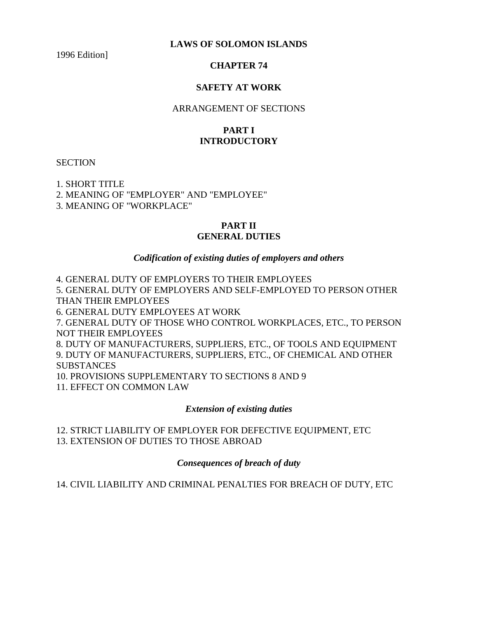### **LAWS OF SOLOMON ISLANDS**

1996 Edition]

### **CHAPTER 74**

### **SAFETY AT WORK**

### ARRANGEMENT OF SECTIONS

## **PART I INTRODUCTORY**

#### **SECTION**

1. SHORT TITLE

2. MEANING OF "EMPLOYER" AND "EMPLOYEE"

3. MEANING OF "WORKPLACE"

### **PART II GENERAL DUTIES**

#### *Codification of existing duties of employers and others*

4. GENERAL DUTY OF EMPLOYERS TO THEIR EMPLOYEES

5. GENERAL DUTY OF EMPLOYERS AND SELF-EMPLOYED TO PERSON OTHER THAN THEIR EMPLOYEES

6. GENERAL DUTY EMPLOYEES AT WORK

7. GENERAL DUTY OF THOSE WHO CONTROL WORKPLACES, ETC., TO PERSON NOT THEIR EMPLOYEES

8. DUTY OF MANUFACTURERS, SUPPLIERS, ETC., OF TOOLS AND EQUIPMENT 9. DUTY OF MANUFACTURERS, SUPPLIERS, ETC., OF CHEMICAL AND OTHER SUBSTANCES

10. PROVISIONS SUPPLEMENTARY TO SECTIONS 8 AND 9

11. EFFECT ON COMMON LAW

*Extension of existing duties*

12. STRICT LIABILITY OF EMPLOYER FOR DEFECTIVE EQUIPMENT, ETC 13. EXTENSION OF DUTIES TO THOSE ABROAD

*Consequences of breach of duty*

14. CIVIL LIABILITY AND CRIMINAL PENALTIES FOR BREACH OF DUTY, ETC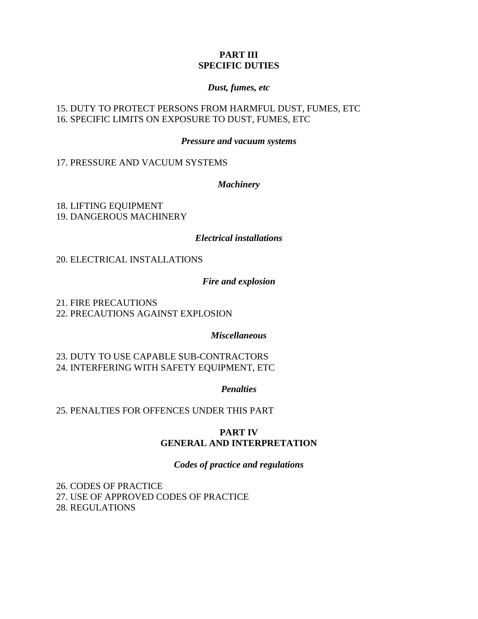## **PART III SPECIFIC DUTIES**

### *Dust, fumes, etc*

## 15. DUTY TO PROTECT PERSONS FROM HARMFUL DUST, FUMES, ETC 16. SPECIFIC LIMITS ON EXPOSURE TO DUST, FUMES, ETC

#### *Pressure and vacuum systems*

## 17. PRESSURE AND VACUUM SYSTEMS

### *Machinery*

18. LIFTING EQUIPMENT 19. DANGEROUS MACHINERY

### *Electrical installations*

20. ELECTRICAL INSTALLATIONS

## *Fire and explosion*

21. FIRE PRECAUTIONS 22. PRECAUTIONS AGAINST EXPLOSION

### *Miscellaneous*

23. DUTY TO USE CAPABLE SUB-CONTRACTORS 24. INTERFERING WITH SAFETY EQUIPMENT, ETC

*Penalties*

25. PENALTIES FOR OFFENCES UNDER THIS PART

## **PART IV GENERAL AND INTERPRETATION**

## *Codes of practice and regulations*

26. CODES OF PRACTICE 27. USE OF APPROVED CODES OF PRACTICE 28. REGULATIONS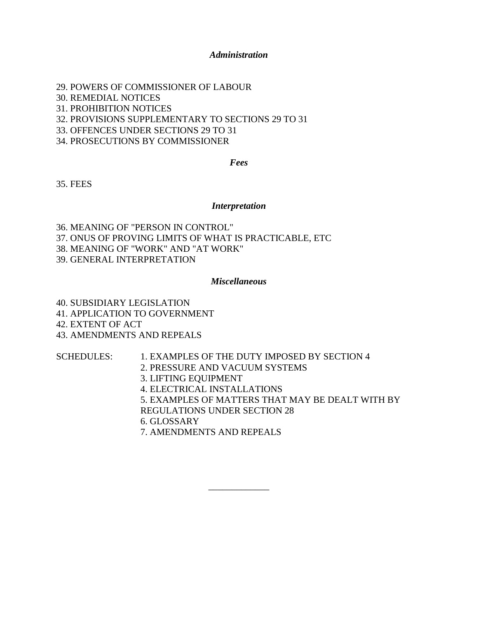#### *Administration*

29. POWERS OF COMMISSIONER OF LABOUR

30. REMEDIAL NOTICES

31. PROHIBITION NOTICES

32. PROVISIONS SUPPLEMENTARY TO SECTIONS 29 TO 31

33. OFFENCES UNDER SECTIONS 29 TO 31

34. PROSECUTIONS BY COMMISSIONER

*Fees*

35. FEES

### *Interpretation*

36. MEANING OF "PERSON IN CONTROL" 37. ONUS OF PROVING LIMITS OF WHAT IS PRACTICABLE, ETC 38. MEANING OF "WORK" AND "AT WORK" 39. GENERAL INTERPRETATION

### *Miscellaneous*

40. SUBSIDIARY LEGISLATION 41. APPLICATION TO GOVERNMENT 42. EXTENT OF ACT 43. AMENDMENTS AND REPEALS

SCHEDULES: 1. EXAMPLES OF THE DUTY IMPOSED BY SECTION 4

2. PRESSURE AND VACUUM SYSTEMS

3. LIFTING EQUIPMENT

4. ELECTRICAL INSTALLATIONS

5. EXAMPLES OF MATTERS THAT MAY BE DEALT WITH BY

REGULATIONS UNDER SECTION 28

\_\_\_\_\_\_\_\_\_\_\_\_\_

6. GLOSSARY

7. AMENDMENTS AND REPEALS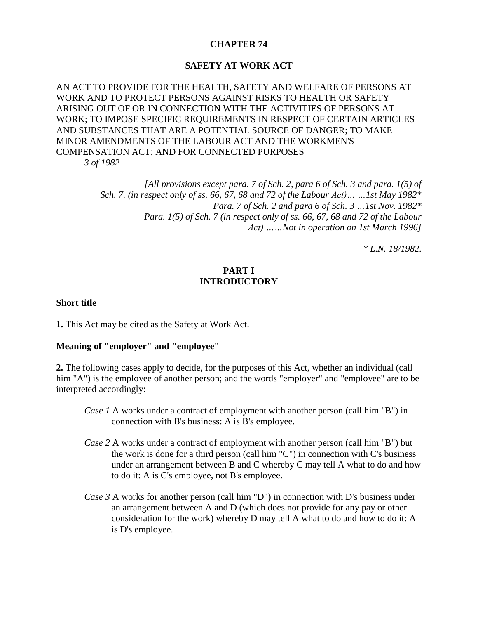## **CHAPTER 74**

## **SAFETY AT WORK ACT**

AN ACT TO PROVIDE FOR THE HEALTH, SAFETY AND WELFARE OF PERSONS AT WORK AND TO PROTECT PERSONS AGAINST RISKS TO HEALTH OR SAFETY ARISING OUT OF OR IN CONNECTION WITH THE ACTIVITIES OF PERSONS AT WORK; TO IMPOSE SPECIFIC REQUIREMENTS IN RESPECT OF CERTAIN ARTICLES AND SUBSTANCES THAT ARE A POTENTIAL SOURCE OF DANGER; TO MAKE MINOR AMENDMENTS OF THE LABOUR ACT AND THE WORKMEN'S COMPENSATION ACT; AND FOR CONNECTED PURPOSES *3 of 1982*

> *[All provisions except para. 7 of Sch. 2, para 6 of Sch. 3 and para. 1(5) of Sch. 7. (in respect only of ss. 66, 67, 68 and 72 of the Labour Act)… …1st May 1982\* Para. 7 of Sch. 2 and para 6 of Sch. 3 …1st Nov. 1982\* Para. 1(5) of Sch. 7 (in respect only of ss. 66, 67, 68 and 72 of the Labour Act) ……Not in operation on 1st March 1996]*

> > *\* L.N. 18/1982.*

## **PART I INTRODUCTORY**

### **Short title**

**1.** This Act may be cited as the Safety at Work Act.

### **Meaning of "employer" and "employee"**

**2.** The following cases apply to decide, for the purposes of this Act, whether an individual (call him "A") is the employee of another person; and the words "employer" and "employee" are to be interpreted accordingly:

- *Case 1* A works under a contract of employment with another person (call him "B") in connection with B's business: A is B's employee.
- *Case 2* A works under a contract of employment with another person (call him "B") but the work is done for a third person (call him "C") in connection with C's business under an arrangement between B and C whereby C may tell A what to do and how to do it: A is C's employee, not B's employee.
- *Case 3* A works for another person (call him "D") in connection with D's business under an arrangement between A and D (which does not provide for any pay or other consideration for the work) whereby D may tell A what to do and how to do it: A is D's employee.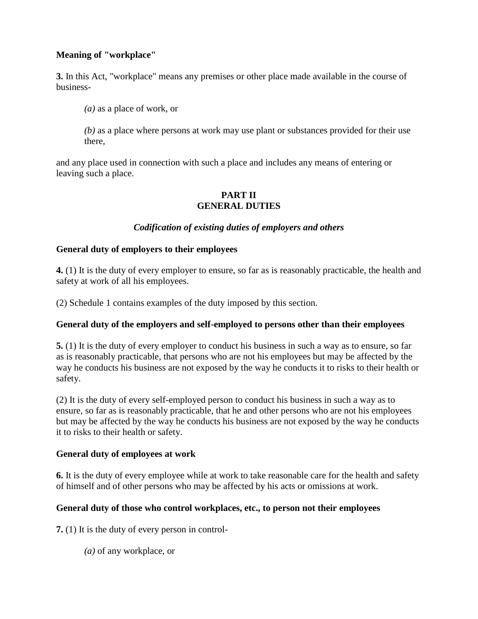# **Meaning of "workplace"**

**3.** In this Act, "workplace" means any premises or other place made available in the course of business-

*(a)* as a place of work, or

*(b)* as a place where persons at work may use plant or substances provided for their use there,

and any place used in connection with such a place and includes any means of entering or leaving such a place.

## **PART II GENERAL DUTIES**

## *Codification of existing duties of employers and others*

## **General duty of employers to their employees**

**4.** (1) It is the duty of every employer to ensure, so far as is reasonably practicable, the health and safety at work of all his employees.

(2) Schedule 1 contains examples of the duty imposed by this section.

## **General duty of the employers and self-employed to persons other than their employees**

**5.** (1) It is the duty of every employer to conduct his business in such a way as to ensure, so far as is reasonably practicable, that persons who are not his employees but may be affected by the way he conducts his business are not exposed by the way he conducts it to risks to their health or safety.

(2) It is the duty of every self-employed person to conduct his business in such a way as to ensure, so far as is reasonably practicable, that he and other persons who are not his employees but may be affected by the way he conducts his business are not exposed by the way he conducts it to risks to their health or safety.

## **General duty of employees at work**

**6.** It is the duty of every employee while at work to take reasonable care for the health and safety of himself and of other persons who may be affected by his acts or omissions at work.

# **General duty of those who control workplaces, etc., to person not their employees**

**7.** (1) It is the duty of every person in control-

*(a)* of any workplace, or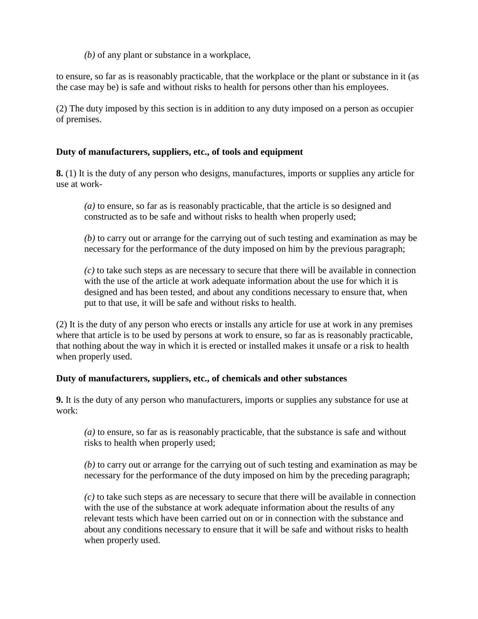*(b)* of any plant or substance in a workplace,

to ensure, so far as is reasonably practicable, that the workplace or the plant or substance in it (as the case may be) is safe and without risks to health for persons other than his employees.

(2) The duty imposed by this section is in addition to any duty imposed on a person as occupier of premises.

# **Duty of manufacturers, suppliers, etc., of tools and equipment**

**8.** (1) It is the duty of any person who designs, manufactures, imports or supplies any article for use at work-

*(a)* to ensure, so far as is reasonably practicable, that the article is so designed and constructed as to be safe and without risks to health when properly used;

*(b)* to carry out or arrange for the carrying out of such testing and examination as may be necessary for the performance of the duty imposed on him by the previous paragraph;

*(c)* to take such steps as are necessary to secure that there will be available in connection with the use of the article at work adequate information about the use for which it is designed and has been tested, and about any conditions necessary to ensure that, when put to that use, it will be safe and without risks to health.

(2) It is the duty of any person who erects or installs any article for use at work in any premises where that article is to be used by persons at work to ensure, so far as is reasonably practicable, that nothing about the way in which it is erected or installed makes it unsafe or a risk to health when properly used.

# **Duty of manufacturers, suppliers, etc., of chemicals and other substances**

**9.** It is the duty of any person who manufacturers, imports or supplies any substance for use at work:

*(a)* to ensure, so far as is reasonably practicable, that the substance is safe and without risks to health when properly used;

*(b)* to carry out or arrange for the carrying out of such testing and examination as may be necessary for the performance of the duty imposed on him by the preceding paragraph;

*(c)* to take such steps as are necessary to secure that there will be available in connection with the use of the substance at work adequate information about the results of any relevant tests which have been carried out on or in connection with the substance and about any conditions necessary to ensure that it will be safe and without risks to health when properly used.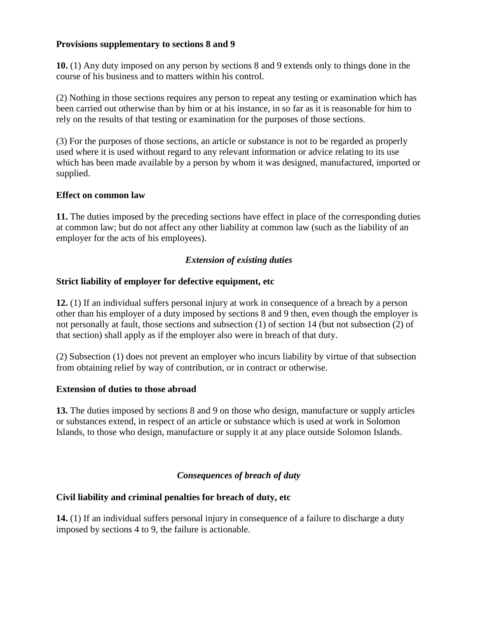## **Provisions supplementary to sections 8 and 9**

**10.** (1) Any duty imposed on any person by sections 8 and 9 extends only to things done in the course of his business and to matters within his control.

(2) Nothing in those sections requires any person to repeat any testing or examination which has been carried out otherwise than by him or at his instance, in so far as it is reasonable for him to rely on the results of that testing or examination for the purposes of those sections.

(3) For the purposes of those sections, an article or substance is not to be regarded as properly used where it is used without regard to any relevant information or advice relating to its use which has been made available by a person by whom it was designed, manufactured, imported or supplied.

## **Effect on common law**

**11.** The duties imposed by the preceding sections have effect in place of the corresponding duties at common law; but do not affect any other liability at common law (such as the liability of an employer for the acts of his employees).

# *Extension of existing duties*

# **Strict liability of employer for defective equipment, etc**

**12.** (1) If an individual suffers personal injury at work in consequence of a breach by a person other than his employer of a duty imposed by sections 8 and 9 then, even though the employer is not personally at fault, those sections and subsection (1) of section 14 (but not subsection (2) of that section) shall apply as if the employer also were in breach of that duty.

(2) Subsection (1) does not prevent an employer who incurs liability by virtue of that subsection from obtaining relief by way of contribution, or in contract or otherwise.

# **Extension of duties to those abroad**

**13.** The duties imposed by sections 8 and 9 on those who design, manufacture or supply articles or substances extend, in respect of an article or substance which is used at work in Solomon Islands, to those who design, manufacture or supply it at any place outside Solomon Islands.

# *Consequences of breach of duty*

# **Civil liability and criminal penalties for breach of duty, etc**

**14.** (1) If an individual suffers personal injury in consequence of a failure to discharge a duty imposed by sections 4 to 9, the failure is actionable.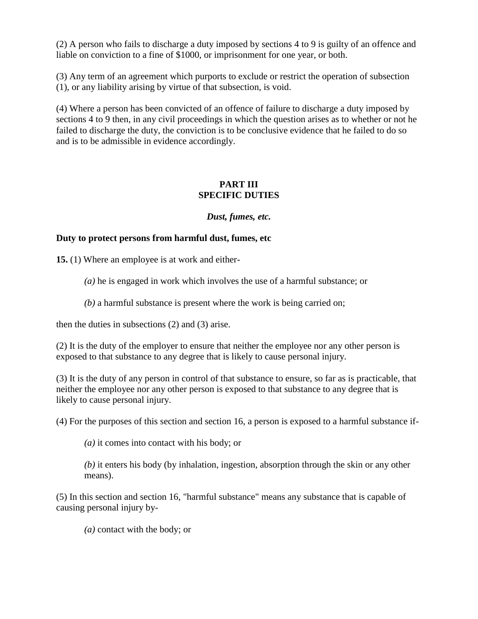(2) A person who fails to discharge a duty imposed by sections 4 to 9 is guilty of an offence and liable on conviction to a fine of \$1000, or imprisonment for one year, or both.

(3) Any term of an agreement which purports to exclude or restrict the operation of subsection (1), or any liability arising by virtue of that subsection, is void.

(4) Where a person has been convicted of an offence of failure to discharge a duty imposed by sections 4 to 9 then, in any civil proceedings in which the question arises as to whether or not he failed to discharge the duty, the conviction is to be conclusive evidence that he failed to do so and is to be admissible in evidence accordingly.

## **PART III SPECIFIC DUTIES**

# *Dust, fumes, etc.*

# **Duty to protect persons from harmful dust, fumes, etc**

**15.** (1) Where an employee is at work and either-

- *(a)* he is engaged in work which involves the use of a harmful substance; or
- *(b)* a harmful substance is present where the work is being carried on;

then the duties in subsections (2) and (3) arise.

(2) It is the duty of the employer to ensure that neither the employee nor any other person is exposed to that substance to any degree that is likely to cause personal injury.

(3) It is the duty of any person in control of that substance to ensure, so far as is practicable, that neither the employee nor any other person is exposed to that substance to any degree that is likely to cause personal injury.

(4) For the purposes of this section and section 16, a person is exposed to a harmful substance if-

*(a)* it comes into contact with his body; or

*(b)* it enters his body (by inhalation, ingestion, absorption through the skin or any other means).

(5) In this section and section 16, "harmful substance" means any substance that is capable of causing personal injury by-

*(a)* contact with the body; or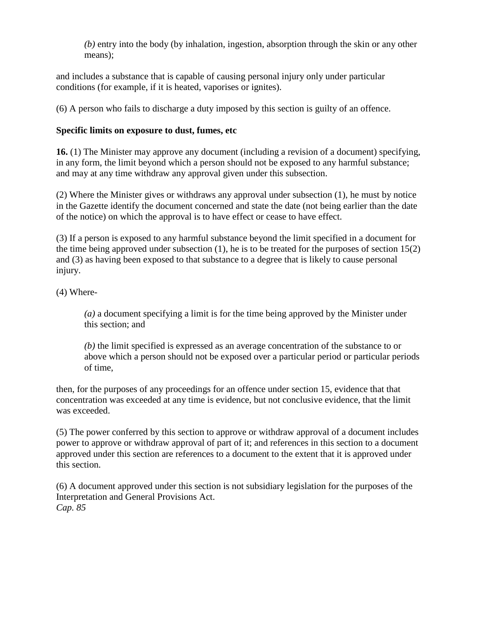*(b)* entry into the body (by inhalation, ingestion, absorption through the skin or any other means);

and includes a substance that is capable of causing personal injury only under particular conditions (for example, if it is heated, vaporises or ignites).

(6) A person who fails to discharge a duty imposed by this section is guilty of an offence.

# **Specific limits on exposure to dust, fumes, etc**

**16.** (1) The Minister may approve any document (including a revision of a document) specifying, in any form, the limit beyond which a person should not be exposed to any harmful substance; and may at any time withdraw any approval given under this subsection.

(2) Where the Minister gives or withdraws any approval under subsection (1), he must by notice in the Gazette identify the document concerned and state the date (not being earlier than the date of the notice) on which the approval is to have effect or cease to have effect.

(3) If a person is exposed to any harmful substance beyond the limit specified in a document for the time being approved under subsection  $(1)$ , he is to be treated for the purposes of section  $15(2)$ and (3) as having been exposed to that substance to a degree that is likely to cause personal injury.

(4) Where-

*(a)* a document specifying a limit is for the time being approved by the Minister under this section; and

*(b)* the limit specified is expressed as an average concentration of the substance to or above which a person should not be exposed over a particular period or particular periods of time,

then, for the purposes of any proceedings for an offence under section 15, evidence that that concentration was exceeded at any time is evidence, but not conclusive evidence, that the limit was exceeded.

(5) The power conferred by this section to approve or withdraw approval of a document includes power to approve or withdraw approval of part of it; and references in this section to a document approved under this section are references to a document to the extent that it is approved under this section.

(6) A document approved under this section is not subsidiary legislation for the purposes of the Interpretation and General Provisions Act. *Cap. 85*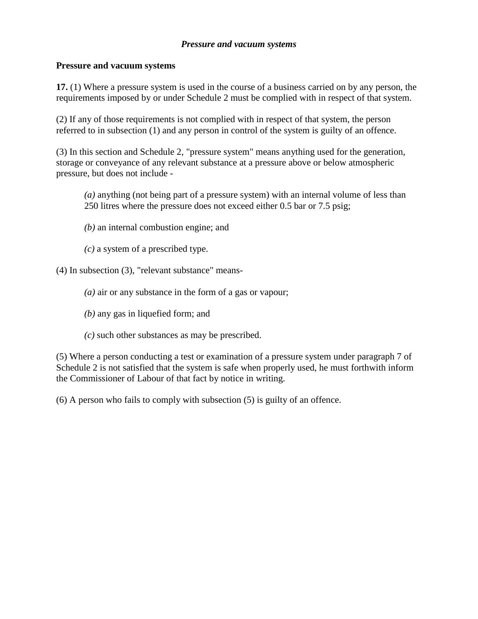## *Pressure and vacuum systems*

## **Pressure and vacuum systems**

**17.** (1) Where a pressure system is used in the course of a business carried on by any person, the requirements imposed by or under Schedule 2 must be complied with in respect of that system.

(2) If any of those requirements is not complied with in respect of that system, the person referred to in subsection (1) and any person in control of the system is guilty of an offence.

(3) In this section and Schedule 2, "pressure system" means anything used for the generation, storage or conveyance of any relevant substance at a pressure above or below atmospheric pressure, but does not include -

*(a)* anything (not being part of a pressure system) with an internal volume of less than 250 litres where the pressure does not exceed either 0.5 bar or 7.5 psig;

- *(b)* an internal combustion engine; and
- *(c)* a system of a prescribed type.

(4) In subsection (3), "relevant substance" means-

- *(a)* air or any substance in the form of a gas or vapour;
- *(b)* any gas in liquefied form; and
- *(c)* such other substances as may be prescribed.

(5) Where a person conducting a test or examination of a pressure system under paragraph 7 of Schedule 2 is not satisfied that the system is safe when properly used, he must forthwith inform the Commissioner of Labour of that fact by notice in writing.

(6) A person who fails to comply with subsection (5) is guilty of an offence.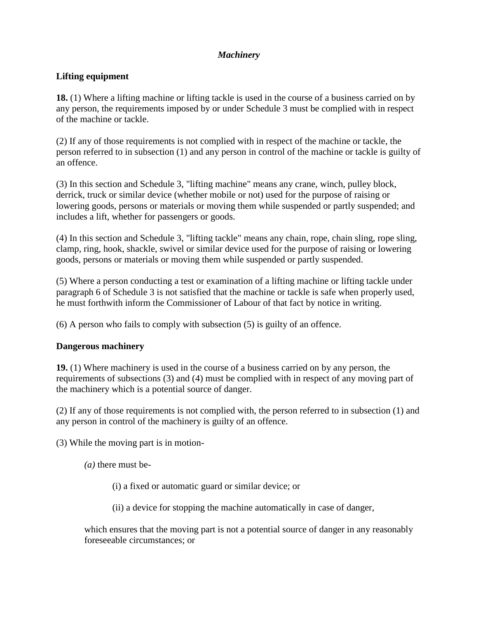# *Machinery*

# **Lifting equipment**

**18.** (1) Where a lifting machine or lifting tackle is used in the course of a business carried on by any person, the requirements imposed by or under Schedule 3 must be complied with in respect of the machine or tackle.

(2) If any of those requirements is not complied with in respect of the machine or tackle, the person referred to in subsection (1) and any person in control of the machine or tackle is guilty of an offence.

(3) In this section and Schedule 3, "lifting machine" means any crane, winch, pulley block, derrick, truck or similar device (whether mobile or not) used for the purpose of raising or lowering goods, persons or materials or moving them while suspended or partly suspended; and includes a lift, whether for passengers or goods.

(4) In this section and Schedule 3, "lifting tackle" means any chain, rope, chain sling, rope sling, clamp, ring, hook, shackle, swivel or similar device used for the purpose of raising or lowering goods, persons or materials or moving them while suspended or partly suspended.

(5) Where a person conducting a test or examination of a lifting machine or lifting tackle under paragraph 6 of Schedule 3 is not satisfied that the machine or tackle is safe when properly used, he must forthwith inform the Commissioner of Labour of that fact by notice in writing.

(6) A person who fails to comply with subsection (5) is guilty of an offence.

# **Dangerous machinery**

**19.** (1) Where machinery is used in the course of a business carried on by any person, the requirements of subsections (3) and (4) must be complied with in respect of any moving part of the machinery which is a potential source of danger.

(2) If any of those requirements is not complied with, the person referred to in subsection (1) and any person in control of the machinery is guilty of an offence.

(3) While the moving part is in motion-

*(a)* there must be-

- (i) a fixed or automatic guard or similar device; or
- (ii) a device for stopping the machine automatically in case of danger,

which ensures that the moving part is not a potential source of danger in any reasonably foreseeable circumstances; or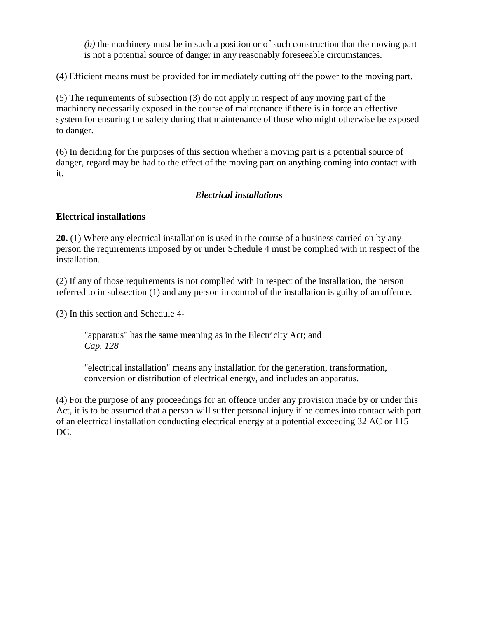*(b)* the machinery must be in such a position or of such construction that the moving part is not a potential source of danger in any reasonably foreseeable circumstances.

(4) Efficient means must be provided for immediately cutting off the power to the moving part.

(5) The requirements of subsection (3) do not apply in respect of any moving part of the machinery necessarily exposed in the course of maintenance if there is in force an effective system for ensuring the safety during that maintenance of those who might otherwise be exposed to danger.

(6) In deciding for the purposes of this section whether a moving part is a potential source of danger, regard may be had to the effect of the moving part on anything coming into contact with it.

# *Electrical installations*

## **Electrical installations**

**20.** (1) Where any electrical installation is used in the course of a business carried on by any person the requirements imposed by or under Schedule 4 must be complied with in respect of the installation.

(2) If any of those requirements is not complied with in respect of the installation, the person referred to in subsection (1) and any person in control of the installation is guilty of an offence.

(3) In this section and Schedule 4-

"apparatus" has the same meaning as in the Electricity Act; and *Cap. 128*

"electrical installation" means any installation for the generation, transformation, conversion or distribution of electrical energy, and includes an apparatus.

(4) For the purpose of any proceedings for an offence under any provision made by or under this Act, it is to be assumed that a person will suffer personal injury if he comes into contact with part of an electrical installation conducting electrical energy at a potential exceeding 32 AC or 115 DC.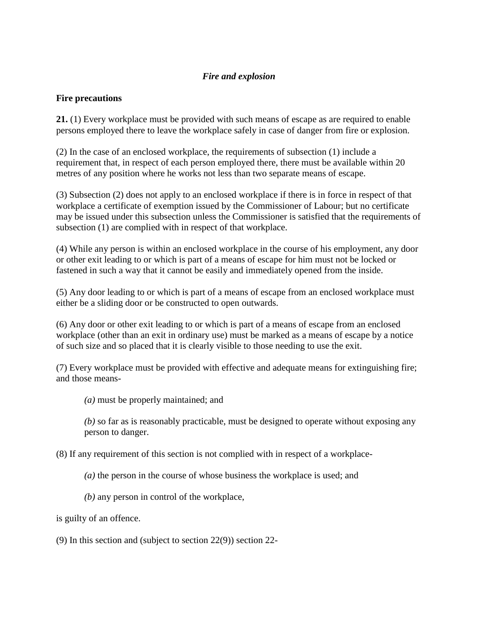# *Fire and explosion*

## **Fire precautions**

**21.** (1) Every workplace must be provided with such means of escape as are required to enable persons employed there to leave the workplace safely in case of danger from fire or explosion.

(2) In the case of an enclosed workplace, the requirements of subsection (1) include a requirement that, in respect of each person employed there, there must be available within 20 metres of any position where he works not less than two separate means of escape.

(3) Subsection (2) does not apply to an enclosed workplace if there is in force in respect of that workplace a certificate of exemption issued by the Commissioner of Labour; but no certificate may be issued under this subsection unless the Commissioner is satisfied that the requirements of subsection (1) are complied with in respect of that workplace.

(4) While any person is within an enclosed workplace in the course of his employment, any door or other exit leading to or which is part of a means of escape for him must not be locked or fastened in such a way that it cannot be easily and immediately opened from the inside.

(5) Any door leading to or which is part of a means of escape from an enclosed workplace must either be a sliding door or be constructed to open outwards.

(6) Any door or other exit leading to or which is part of a means of escape from an enclosed workplace (other than an exit in ordinary use) must be marked as a means of escape by a notice of such size and so placed that it is clearly visible to those needing to use the exit.

(7) Every workplace must be provided with effective and adequate means for extinguishing fire; and those means-

*(a)* must be properly maintained; and

*(b)* so far as is reasonably practicable, must be designed to operate without exposing any person to danger.

(8) If any requirement of this section is not complied with in respect of a workplace-

*(a)* the person in the course of whose business the workplace is used; and

*(b)* any person in control of the workplace,

is guilty of an offence.

(9) In this section and (subject to section 22(9)) section 22-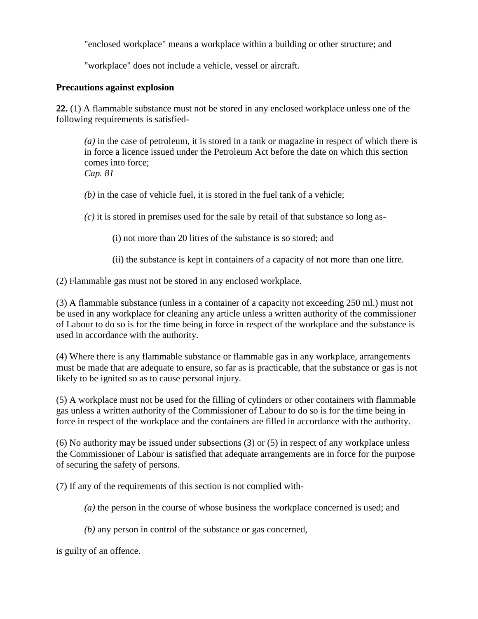"enclosed workplace" means a workplace within a building or other structure; and

"workplace" does not include a vehicle, vessel or aircraft.

## **Precautions against explosion**

**22.** (1) A flammable substance must not be stored in any enclosed workplace unless one of the following requirements is satisfied-

*(a)* in the case of petroleum, it is stored in a tank or magazine in respect of which there is in force a licence issued under the Petroleum Act before the date on which this section comes into force; *Cap. 81*

*(b)* in the case of vehicle fuel, it is stored in the fuel tank of a vehicle;

*(c)* it is stored in premises used for the sale by retail of that substance so long as-

(i) not more than 20 litres of the substance is so stored; and

(ii) the substance is kept in containers of a capacity of not more than one litre.

(2) Flammable gas must not be stored in any enclosed workplace.

(3) A flammable substance (unless in a container of a capacity not exceeding 250 ml.) must not be used in any workplace for cleaning any article unless a written authority of the commissioner of Labour to do so is for the time being in force in respect of the workplace and the substance is used in accordance with the authority.

(4) Where there is any flammable substance or flammable gas in any workplace, arrangements must be made that are adequate to ensure, so far as is practicable, that the substance or gas is not likely to be ignited so as to cause personal injury.

(5) A workplace must not be used for the filling of cylinders or other containers with flammable gas unless a written authority of the Commissioner of Labour to do so is for the time being in force in respect of the workplace and the containers are filled in accordance with the authority.

(6) No authority may be issued under subsections (3) or (5) in respect of any workplace unless the Commissioner of Labour is satisfied that adequate arrangements are in force for the purpose of securing the safety of persons.

(7) If any of the requirements of this section is not complied with-

*(a)* the person in the course of whose business the workplace concerned is used; and

*(b)* any person in control of the substance or gas concerned,

is guilty of an offence.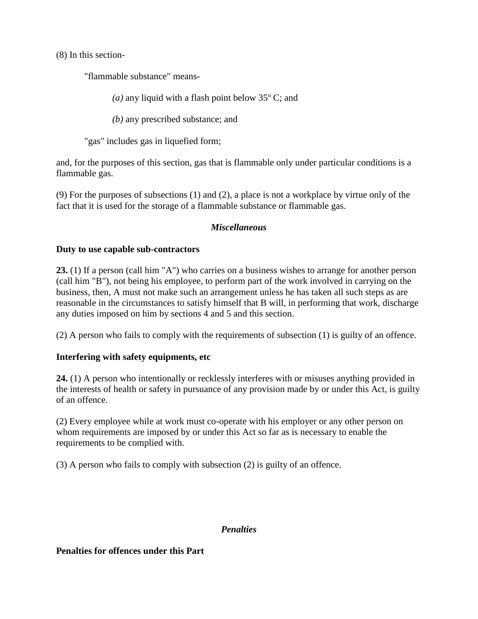(8) In this section-

"flammable substance" means-

(a) any liquid with a flash point below  $35^{\circ}$  C; and

*(b)* any prescribed substance; and

"gas" includes gas in liquefied form;

and, for the purposes of this section, gas that is flammable only under particular conditions is a flammable gas.

(9) For the purposes of subsections (1) and (2), a place is not a workplace by virtue only of the fact that it is used for the storage of a flammable substance or flammable gas.

# *Miscellaneous*

## **Duty to use capable sub-contractors**

**23.** (1) If a person (call him "A") who carries on a business wishes to arrange for another person (call him "B"), not being his employee, to perform part of the work involved in carrying on the business, then, A must not make such an arrangement unless he has taken all such steps as are reasonable in the circumstances to satisfy himself that B will, in performing that work, discharge any duties imposed on him by sections 4 and 5 and this section.

(2) A person who fails to comply with the requirements of subsection (1) is guilty of an offence.

# **Interfering with safety equipments, etc**

**24.** (1) A person who intentionally or recklessly interferes with or misuses anything provided in the interests of health or safety in pursuance of any provision made by or under this Act, is guilty of an offence.

(2) Every employee while at work must co-operate with his employer or any other person on whom requirements are imposed by or under this Act so far as is necessary to enable the requirements to be complied with.

(3) A person who fails to comply with subsection (2) is guilty of an offence.

## *Penalties*

# **Penalties for offences under this Part**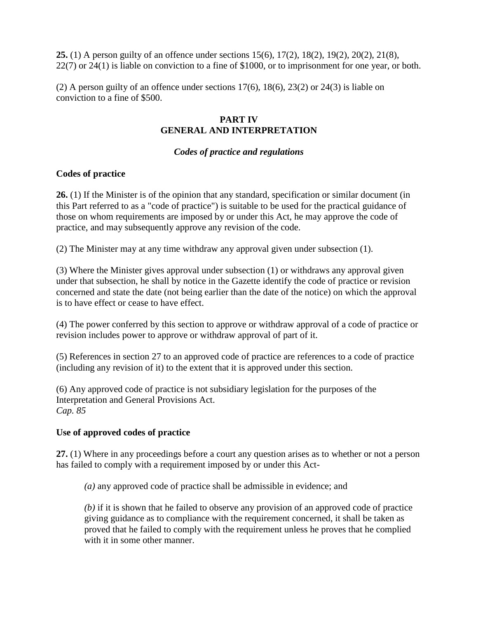**25.** (1) A person guilty of an offence under sections 15(6), 17(2), 18(2), 19(2), 20(2), 21(8), 22(7) or 24(1) is liable on conviction to a fine of \$1000, or to imprisonment for one year, or both.

(2) A person guilty of an offence under sections 17(6), 18(6), 23(2) or 24(3) is liable on conviction to a fine of \$500.

## **PART IV GENERAL AND INTERPRETATION**

## *Codes of practice and regulations*

# **Codes of practice**

**26.** (1) If the Minister is of the opinion that any standard, specification or similar document (in this Part referred to as a "code of practice") is suitable to be used for the practical guidance of those on whom requirements are imposed by or under this Act, he may approve the code of practice, and may subsequently approve any revision of the code.

(2) The Minister may at any time withdraw any approval given under subsection (1).

(3) Where the Minister gives approval under subsection (1) or withdraws any approval given under that subsection, he shall by notice in the Gazette identify the code of practice or revision concerned and state the date (not being earlier than the date of the notice) on which the approval is to have effect or cease to have effect.

(4) The power conferred by this section to approve or withdraw approval of a code of practice or revision includes power to approve or withdraw approval of part of it.

(5) References in section 27 to an approved code of practice are references to a code of practice (including any revision of it) to the extent that it is approved under this section.

(6) Any approved code of practice is not subsidiary legislation for the purposes of the Interpretation and General Provisions Act. *Cap. 85*

## **Use of approved codes of practice**

**27.** (1) Where in any proceedings before a court any question arises as to whether or not a person has failed to comply with a requirement imposed by or under this Act-

*(a)* any approved code of practice shall be admissible in evidence; and

*(b)* if it is shown that he failed to observe any provision of an approved code of practice giving guidance as to compliance with the requirement concerned, it shall be taken as proved that he failed to comply with the requirement unless he proves that he complied with it in some other manner.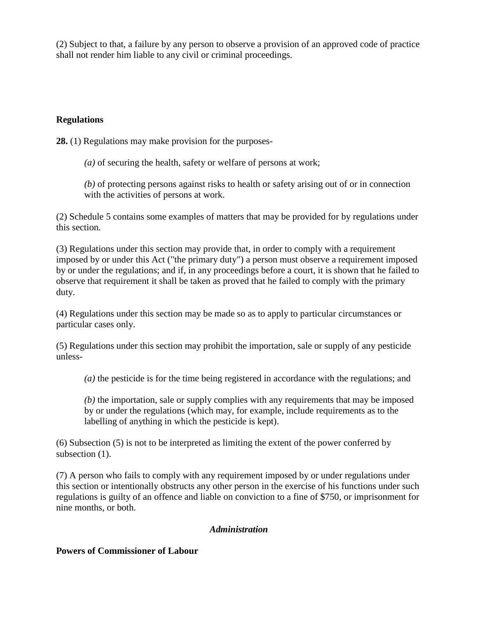(2) Subject to that, a failure by any person to observe a provision of an approved code of practice shall not render him liable to any civil or criminal proceedings.

# **Regulations**

**28.** (1) Regulations may make provision for the purposes-

*(a)* of securing the health, safety or welfare of persons at work;

*(b)* of protecting persons against risks to health or safety arising out of or in connection with the activities of persons at work.

(2) Schedule 5 contains some examples of matters that may be provided for by regulations under this section.

(3) Regulations under this section may provide that, in order to comply with a requirement imposed by or under this Act ("the primary duty") a person must observe a requirement imposed by or under the regulations; and if, in any proceedings before a court, it is shown that he failed to observe that requirement it shall be taken as proved that he failed to comply with the primary duty.

(4) Regulations under this section may be made so as to apply to particular circumstances or particular cases only.

(5) Regulations under this section may prohibit the importation, sale or supply of any pesticide unless-

*(a)* the pesticide is for the time being registered in accordance with the regulations; and

*(b)* the importation, sale or supply complies with any requirements that may be imposed by or under the regulations (which may, for example, include requirements as to the labelling of anything in which the pesticide is kept).

(6) Subsection (5) is not to be interpreted as limiting the extent of the power conferred by subsection  $(1)$ .

(7) A person who fails to comply with any requirement imposed by or under regulations under this section or intentionally obstructs any other person in the exercise of his functions under such regulations is guilty of an offence and liable on conviction to a fine of \$750, or imprisonment for nine months, or both.

# *Administration*

# **Powers of Commissioner of Labour**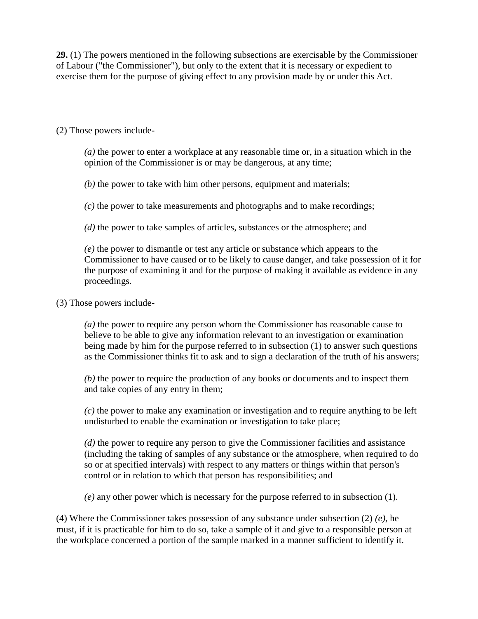**29.** (1) The powers mentioned in the following subsections are exercisable by the Commissioner of Labour ("the Commissioner"), but only to the extent that it is necessary or expedient to exercise them for the purpose of giving effect to any provision made by or under this Act.

(2) Those powers include-

*(a)* the power to enter a workplace at any reasonable time or, in a situation which in the opinion of the Commissioner is or may be dangerous, at any time;

*(b)* the power to take with him other persons, equipment and materials;

*(c)* the power to take measurements and photographs and to make recordings;

*(d)* the power to take samples of articles, substances or the atmosphere; and

*(e)* the power to dismantle or test any article or substance which appears to the Commissioner to have caused or to be likely to cause danger, and take possession of it for the purpose of examining it and for the purpose of making it available as evidence in any proceedings.

(3) Those powers include-

*(a)* the power to require any person whom the Commissioner has reasonable cause to believe to be able to give any information relevant to an investigation or examination being made by him for the purpose referred to in subsection (1) to answer such questions as the Commissioner thinks fit to ask and to sign a declaration of the truth of his answers;

*(b)* the power to require the production of any books or documents and to inspect them and take copies of any entry in them;

*(c)* the power to make any examination or investigation and to require anything to be left undisturbed to enable the examination or investigation to take place;

*(d)* the power to require any person to give the Commissioner facilities and assistance (including the taking of samples of any substance or the atmosphere, when required to do so or at specified intervals) with respect to any matters or things within that person's control or in relation to which that person has responsibilities; and

*(e)* any other power which is necessary for the purpose referred to in subsection (1).

(4) Where the Commissioner takes possession of any substance under subsection (2) *(e)*, he must, if it is practicable for him to do so, take a sample of it and give to a responsible person at the workplace concerned a portion of the sample marked in a manner sufficient to identify it.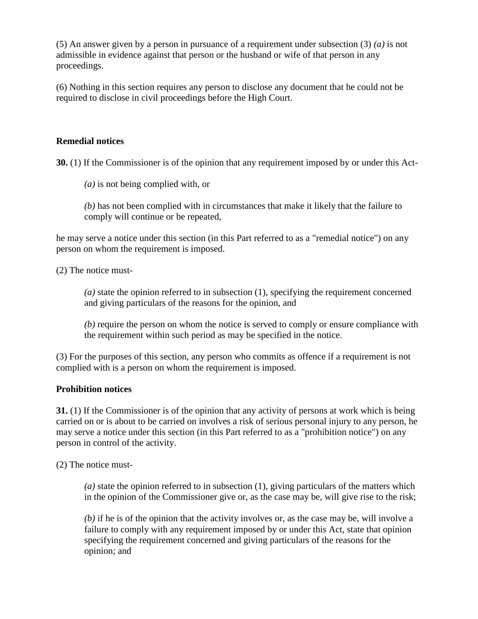(5) An answer given by a person in pursuance of a requirement under subsection (3) *(a)* is not admissible in evidence against that person or the husband or wife of that person in any proceedings.

(6) Nothing in this section requires any person to disclose any document that he could not be required to disclose in civil proceedings before the High Court.

## **Remedial notices**

**30.** (1) If the Commissioner is of the opinion that any requirement imposed by or under this Act-

*(a)* is not being complied with, or

*(b)* has not been complied with in circumstances that make it likely that the failure to comply will continue or be repeated,

he may serve a notice under this section (in this Part referred to as a "remedial notice") on any person on whom the requirement is imposed.

(2) The notice must-

*(a)* state the opinion referred to in subsection (1), specifying the requirement concerned and giving particulars of the reasons for the opinion, and

*(b)* require the person on whom the notice is served to comply or ensure compliance with the requirement within such period as may be specified in the notice.

(3) For the purposes of this section, any person who commits as offence if a requirement is not complied with is a person on whom the requirement is imposed.

## **Prohibition notices**

**31.** (1) If the Commissioner is of the opinion that any activity of persons at work which is being carried on or is about to be carried on involves a risk of serious personal injury to any person, he may serve a notice under this section (in this Part referred to as a "prohibition notice") on any person in control of the activity.

(2) The notice must-

*(a)* state the opinion referred to in subsection (1), giving particulars of the matters which in the opinion of the Commissioner give or, as the case may be, will give rise to the risk;

*(b)* if he is of the opinion that the activity involves or, as the case may be, will involve a failure to comply with any requirement imposed by or under this Act, state that opinion specifying the requirement concerned and giving particulars of the reasons for the opinion; and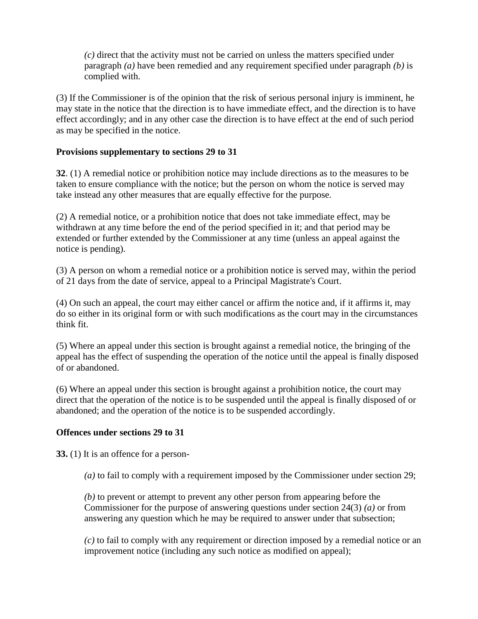*(c)* direct that the activity must not be carried on unless the matters specified under paragraph *(a)* have been remedied and any requirement specified under paragraph *(b)* is complied with.

(3) If the Commissioner is of the opinion that the risk of serious personal injury is imminent, he may state in the notice that the direction is to have immediate effect, and the direction is to have effect accordingly; and in any other case the direction is to have effect at the end of such period as may be specified in the notice.

## **Provisions supplementary to sections 29 to 31**

**32**. (1) A remedial notice or prohibition notice may include directions as to the measures to be taken to ensure compliance with the notice; but the person on whom the notice is served may take instead any other measures that are equally effective for the purpose.

(2) A remedial notice, or a prohibition notice that does not take immediate effect, may be withdrawn at any time before the end of the period specified in it; and that period may be extended or further extended by the Commissioner at any time (unless an appeal against the notice is pending).

(3) A person on whom a remedial notice or a prohibition notice is served may, within the period of 21 days from the date of service, appeal to a Principal Magistrate's Court.

(4) On such an appeal, the court may either cancel or affirm the notice and, if it affirms it, may do so either in its original form or with such modifications as the court may in the circumstances think fit.

(5) Where an appeal under this section is brought against a remedial notice, the bringing of the appeal has the effect of suspending the operation of the notice until the appeal is finally disposed of or abandoned.

(6) Where an appeal under this section is brought against a prohibition notice, the court may direct that the operation of the notice is to be suspended until the appeal is finally disposed of or abandoned; and the operation of the notice is to be suspended accordingly.

## **Offences under sections 29 to 31**

**33.** (1) It is an offence for a person-

*(a)* to fail to comply with a requirement imposed by the Commissioner under section 29;

*(b)* to prevent or attempt to prevent any other person from appearing before the Commissioner for the purpose of answering questions under section 24(3) *(a)* or from answering any question which he may be required to answer under that subsection;

*(c)* to fail to comply with any requirement or direction imposed by a remedial notice or an improvement notice (including any such notice as modified on appeal);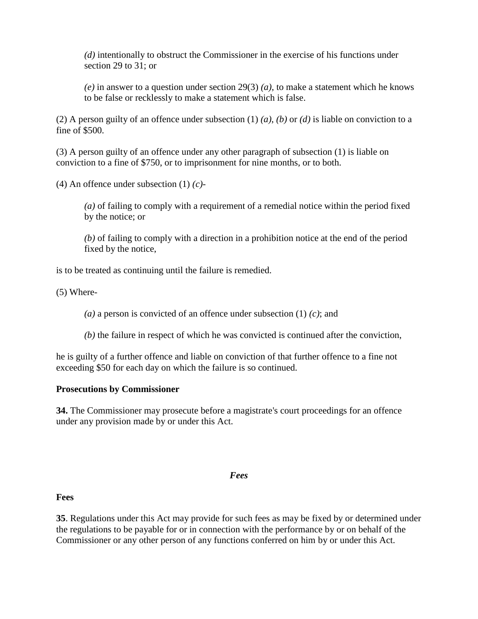*(d)* intentionally to obstruct the Commissioner in the exercise of his functions under section 29 to 31; or

*(e)* in answer to a question under section 29(3) *(a)*, to make a statement which he knows to be false or recklessly to make a statement which is false.

(2) A person guilty of an offence under subsection (1) *(a)*, *(b)* or *(d)* is liable on conviction to a fine of \$500.

(3) A person guilty of an offence under any other paragraph of subsection (1) is liable on conviction to a fine of \$750, or to imprisonment for nine months, or to both.

(4) An offence under subsection (1) *(c)*-

*(a)* of failing to comply with a requirement of a remedial notice within the period fixed by the notice; or

*(b)* of failing to comply with a direction in a prohibition notice at the end of the period fixed by the notice,

is to be treated as continuing until the failure is remedied.

(5) Where-

*(a)* a person is convicted of an offence under subsection (1) *(c)*; and

*(b)* the failure in respect of which he was convicted is continued after the conviction,

he is guilty of a further offence and liable on conviction of that further offence to a fine not exceeding \$50 for each day on which the failure is so continued.

## **Prosecutions by Commissioner**

**34.** The Commissioner may prosecute before a magistrate's court proceedings for an offence under any provision made by or under this Act.

#### *Fees*

## **Fees**

**35**. Regulations under this Act may provide for such fees as may be fixed by or determined under the regulations to be payable for or in connection with the performance by or on behalf of the Commissioner or any other person of any functions conferred on him by or under this Act.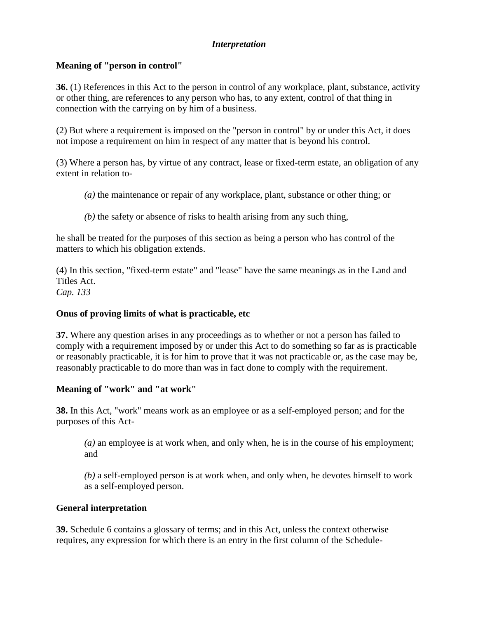## *Interpretation*

## **Meaning of "person in control"**

**36.** (1) References in this Act to the person in control of any workplace, plant, substance, activity or other thing, are references to any person who has, to any extent, control of that thing in connection with the carrying on by him of a business.

(2) But where a requirement is imposed on the "person in control" by or under this Act, it does not impose a requirement on him in respect of any matter that is beyond his control.

(3) Where a person has, by virtue of any contract, lease or fixed-term estate, an obligation of any extent in relation to-

- *(a)* the maintenance or repair of any workplace, plant, substance or other thing; or
- *(b)* the safety or absence of risks to health arising from any such thing,

he shall be treated for the purposes of this section as being a person who has control of the matters to which his obligation extends.

(4) In this section, "fixed-term estate" and "lease" have the same meanings as in the Land and Titles Act.

*Cap. 133*

## **Onus of proving limits of what is practicable, etc**

**37.** Where any question arises in any proceedings as to whether or not a person has failed to comply with a requirement imposed by or under this Act to do something so far as is practicable or reasonably practicable, it is for him to prove that it was not practicable or, as the case may be, reasonably practicable to do more than was in fact done to comply with the requirement.

## **Meaning of "work" and "at work"**

**38.** In this Act, "work" means work as an employee or as a self-employed person; and for the purposes of this Act-

*(a)* an employee is at work when, and only when, he is in the course of his employment; and

*(b)* a self-employed person is at work when, and only when, he devotes himself to work as a self-employed person.

## **General interpretation**

**39.** Schedule 6 contains a glossary of terms; and in this Act, unless the context otherwise requires, any expression for which there is an entry in the first column of the Schedule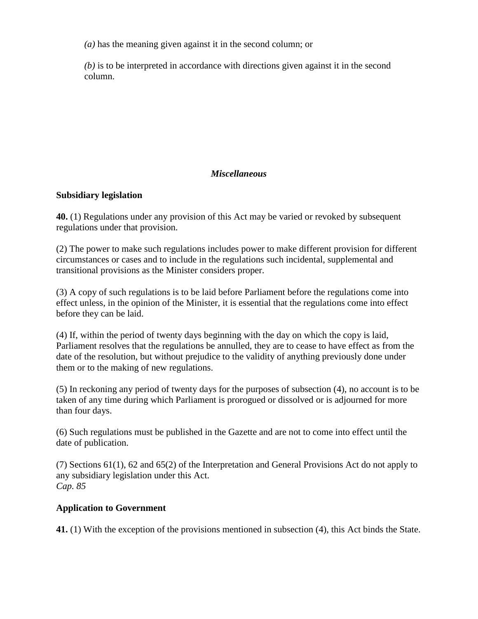*(a)* has the meaning given against it in the second column; or

*(b)* is to be interpreted in accordance with directions given against it in the second column.

# *Miscellaneous*

## **Subsidiary legislation**

**40.** (1) Regulations under any provision of this Act may be varied or revoked by subsequent regulations under that provision.

(2) The power to make such regulations includes power to make different provision for different circumstances or cases and to include in the regulations such incidental, supplemental and transitional provisions as the Minister considers proper.

(3) A copy of such regulations is to be laid before Parliament before the regulations come into effect unless, in the opinion of the Minister, it is essential that the regulations come into effect before they can be laid.

(4) If, within the period of twenty days beginning with the day on which the copy is laid, Parliament resolves that the regulations be annulled, they are to cease to have effect as from the date of the resolution, but without prejudice to the validity of anything previously done under them or to the making of new regulations.

(5) In reckoning any period of twenty days for the purposes of subsection (4), no account is to be taken of any time during which Parliament is prorogued or dissolved or is adjourned for more than four days.

(6) Such regulations must be published in the Gazette and are not to come into effect until the date of publication.

(7) Sections 61(1), 62 and 65(2) of the Interpretation and General Provisions Act do not apply to any subsidiary legislation under this Act. *Cap. 85*

## **Application to Government**

**41.** (1) With the exception of the provisions mentioned in subsection (4), this Act binds the State.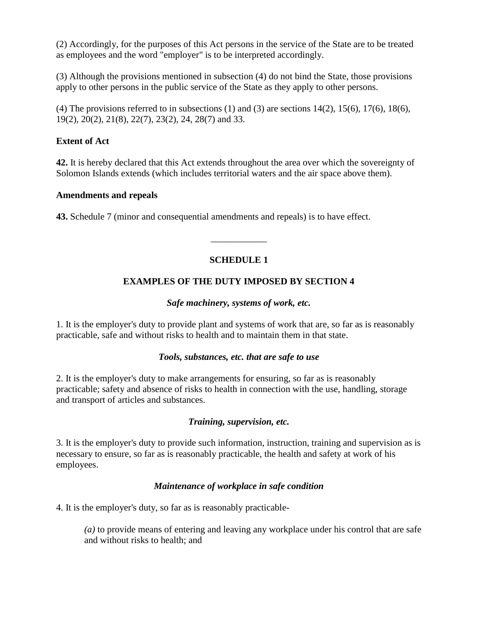(2) Accordingly, for the purposes of this Act persons in the service of the State are to be treated as employees and the word "employer" is to be interpreted accordingly.

(3) Although the provisions mentioned in subsection (4) do not bind the State, those provisions apply to other persons in the public service of the State as they apply to other persons.

(4) The provisions referred to in subsections (1) and (3) are sections  $14(2)$ ,  $15(6)$ ,  $17(6)$ ,  $18(6)$ , 19(2), 20(2), 21(8), 22(7), 23(2), 24, 28(7) and 33.

# **Extent of Act**

**42.** It is hereby declared that this Act extends throughout the area over which the sovereignty of Solomon Islands extends (which includes territorial waters and the air space above them).

## **Amendments and repeals**

**43.** Schedule 7 (minor and consequential amendments and repeals) is to have effect.

# **SCHEDULE 1**

\_\_\_\_\_\_\_\_\_\_\_\_

# **EXAMPLES OF THE DUTY IMPOSED BY SECTION 4**

## *Safe machinery, systems of work, etc.*

1. It is the employer's duty to provide plant and systems of work that are, so far as is reasonably practicable, safe and without risks to health and to maintain them in that state.

# *Tools, substances, etc. that are safe to use*

2. It is the employer's duty to make arrangements for ensuring, so far as is reasonably practicable; safety and absence of risks to health in connection with the use, handling, storage and transport of articles and substances.

# *Training, supervision, etc.*

3. It is the employer's duty to provide such information, instruction, training and supervision as is necessary to ensure, so far as is reasonably practicable, the health and safety at work of his employees.

# *Maintenance of workplace in safe condition*

4. It is the employer's duty, so far as is reasonably practicable-

*(a)* to provide means of entering and leaving any workplace under his control that are safe and without risks to health; and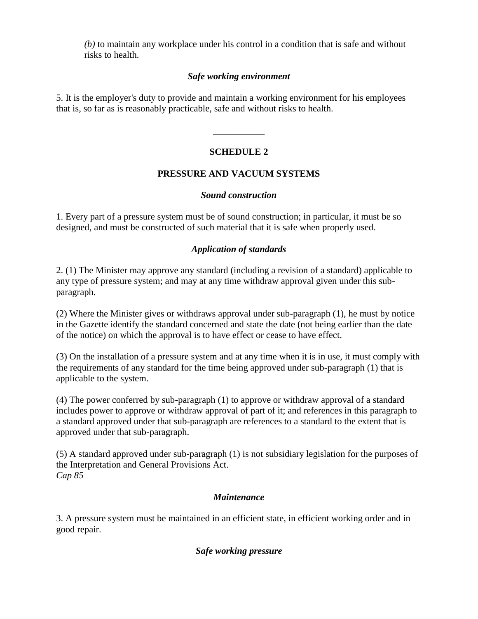*(b)* to maintain any workplace under his control in a condition that is safe and without risks to health.

## *Safe working environment*

5. It is the employer's duty to provide and maintain a working environment for his employees that is, so far as is reasonably practicable, safe and without risks to health.

# **SCHEDULE 2**

\_\_\_\_\_\_\_\_\_\_\_

# **PRESSURE AND VACUUM SYSTEMS**

# *Sound construction*

1. Every part of a pressure system must be of sound construction; in particular, it must be so designed, and must be constructed of such material that it is safe when properly used.

# *Application of standards*

2. (1) The Minister may approve any standard (including a revision of a standard) applicable to any type of pressure system; and may at any time withdraw approval given under this subparagraph.

(2) Where the Minister gives or withdraws approval under sub-paragraph (1), he must by notice in the Gazette identify the standard concerned and state the date (not being earlier than the date of the notice) on which the approval is to have effect or cease to have effect.

(3) On the installation of a pressure system and at any time when it is in use, it must comply with the requirements of any standard for the time being approved under sub-paragraph (1) that is applicable to the system.

(4) The power conferred by sub-paragraph (1) to approve or withdraw approval of a standard includes power to approve or withdraw approval of part of it; and references in this paragraph to a standard approved under that sub-paragraph are references to a standard to the extent that is approved under that sub-paragraph.

(5) A standard approved under sub-paragraph (1) is not subsidiary legislation for the purposes of the Interpretation and General Provisions Act. *Cap 85*

# *Maintenance*

3. A pressure system must be maintained in an efficient state, in efficient working order and in good repair.

# *Safe working pressure*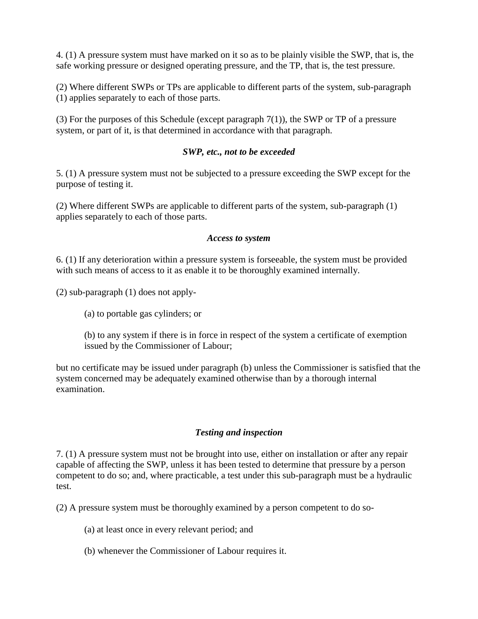4. (1) A pressure system must have marked on it so as to be plainly visible the SWP, that is, the safe working pressure or designed operating pressure, and the TP, that is, the test pressure.

(2) Where different SWPs or TPs are applicable to different parts of the system, sub-paragraph (1) applies separately to each of those parts.

(3) For the purposes of this Schedule (except paragraph 7(1)), the SWP or TP of a pressure system, or part of it, is that determined in accordance with that paragraph.

# *SWP, etc., not to be exceeded*

5. (1) A pressure system must not be subjected to a pressure exceeding the SWP except for the purpose of testing it.

(2) Where different SWPs are applicable to different parts of the system, sub-paragraph (1) applies separately to each of those parts.

## *Access to system*

6. (1) If any deterioration within a pressure system is forseeable, the system must be provided with such means of access to it as enable it to be thoroughly examined internally.

(2) sub-paragraph (1) does not apply-

(a) to portable gas cylinders; or

(b) to any system if there is in force in respect of the system a certificate of exemption issued by the Commissioner of Labour;

but no certificate may be issued under paragraph (b) unless the Commissioner is satisfied that the system concerned may be adequately examined otherwise than by a thorough internal examination.

# *Testing and inspection*

7. (1) A pressure system must not be brought into use, either on installation or after any repair capable of affecting the SWP, unless it has been tested to determine that pressure by a person competent to do so; and, where practicable, a test under this sub-paragraph must be a hydraulic test.

(2) A pressure system must be thoroughly examined by a person competent to do so-

- (a) at least once in every relevant period; and
- (b) whenever the Commissioner of Labour requires it.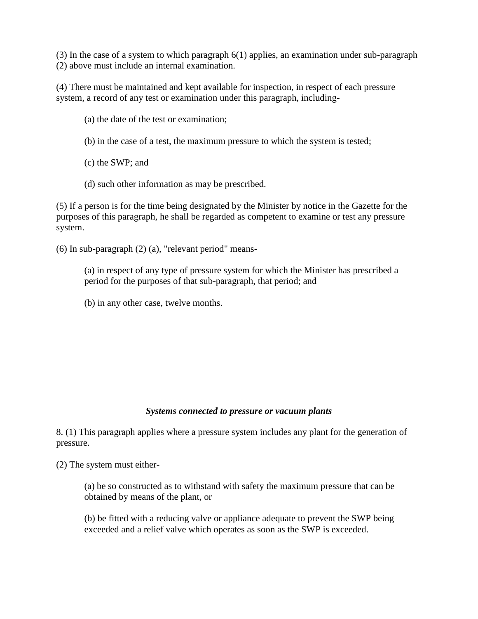(3) In the case of a system to which paragraph 6(1) applies, an examination under sub-paragraph (2) above must include an internal examination.

(4) There must be maintained and kept available for inspection, in respect of each pressure system, a record of any test or examination under this paragraph, including-

- (a) the date of the test or examination;
- (b) in the case of a test, the maximum pressure to which the system is tested;
- (c) the SWP; and
- (d) such other information as may be prescribed.

(5) If a person is for the time being designated by the Minister by notice in the Gazette for the purposes of this paragraph, he shall be regarded as competent to examine or test any pressure system.

(6) In sub-paragraph (2) (a), "relevant period" means-

(a) in respect of any type of pressure system for which the Minister has prescribed a period for the purposes of that sub-paragraph, that period; and

(b) in any other case, twelve months.

## *Systems connected to pressure or vacuum plants*

8. (1) This paragraph applies where a pressure system includes any plant for the generation of pressure.

(2) The system must either-

(a) be so constructed as to withstand with safety the maximum pressure that can be obtained by means of the plant, or

(b) be fitted with a reducing valve or appliance adequate to prevent the SWP being exceeded and a relief valve which operates as soon as the SWP is exceeded.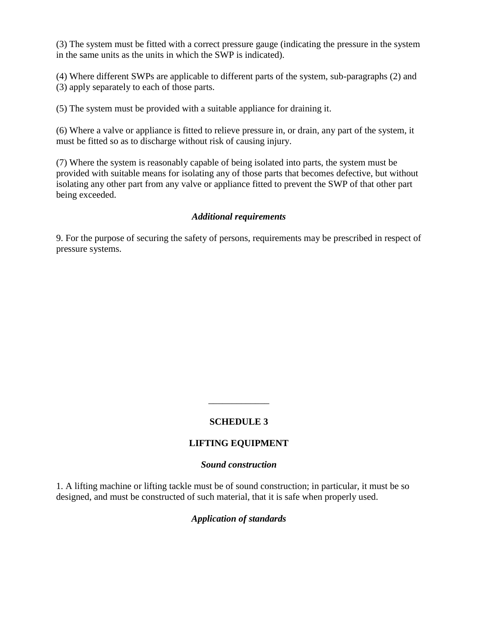(3) The system must be fitted with a correct pressure gauge (indicating the pressure in the system in the same units as the units in which the SWP is indicated).

(4) Where different SWPs are applicable to different parts of the system, sub-paragraphs (2) and (3) apply separately to each of those parts.

(5) The system must be provided with a suitable appliance for draining it.

(6) Where a valve or appliance is fitted to relieve pressure in, or drain, any part of the system, it must be fitted so as to discharge without risk of causing injury.

(7) Where the system is reasonably capable of being isolated into parts, the system must be provided with suitable means for isolating any of those parts that becomes defective, but without isolating any other part from any valve or appliance fitted to prevent the SWP of that other part being exceeded.

## *Additional requirements*

9. For the purpose of securing the safety of persons, requirements may be prescribed in respect of pressure systems.

# **SCHEDULE 3**

\_\_\_\_\_\_\_\_\_\_\_\_\_

# **LIFTING EQUIPMENT**

## *Sound construction*

1. A lifting machine or lifting tackle must be of sound construction; in particular, it must be so designed, and must be constructed of such material, that it is safe when properly used.

# *Application of standards*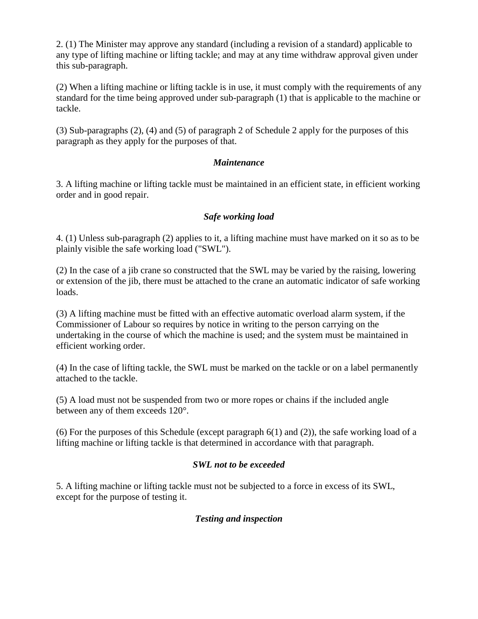2. (1) The Minister may approve any standard (including a revision of a standard) applicable to any type of lifting machine or lifting tackle; and may at any time withdraw approval given under this sub-paragraph.

(2) When a lifting machine or lifting tackle is in use, it must comply with the requirements of any standard for the time being approved under sub-paragraph (1) that is applicable to the machine or tackle.

(3) Sub-paragraphs (2), (4) and (5) of paragraph 2 of Schedule 2 apply for the purposes of this paragraph as they apply for the purposes of that.

# *Maintenance*

3. A lifting machine or lifting tackle must be maintained in an efficient state, in efficient working order and in good repair.

# *Safe working load*

4. (1) Unless sub-paragraph (2) applies to it, a lifting machine must have marked on it so as to be plainly visible the safe working load ("SWL").

(2) In the case of a jib crane so constructed that the SWL may be varied by the raising, lowering or extension of the jib, there must be attached to the crane an automatic indicator of safe working loads.

(3) A lifting machine must be fitted with an effective automatic overload alarm system, if the Commissioner of Labour so requires by notice in writing to the person carrying on the undertaking in the course of which the machine is used; and the system must be maintained in efficient working order.

(4) In the case of lifting tackle, the SWL must be marked on the tackle or on a label permanently attached to the tackle.

(5) A load must not be suspended from two or more ropes or chains if the included angle between any of them exceeds 120°.

(6) For the purposes of this Schedule (except paragraph 6(1) and (2)), the safe working load of a lifting machine or lifting tackle is that determined in accordance with that paragraph.

# *SWL not to be exceeded*

5. A lifting machine or lifting tackle must not be subjected to a force in excess of its SWL, except for the purpose of testing it.

# *Testing and inspection*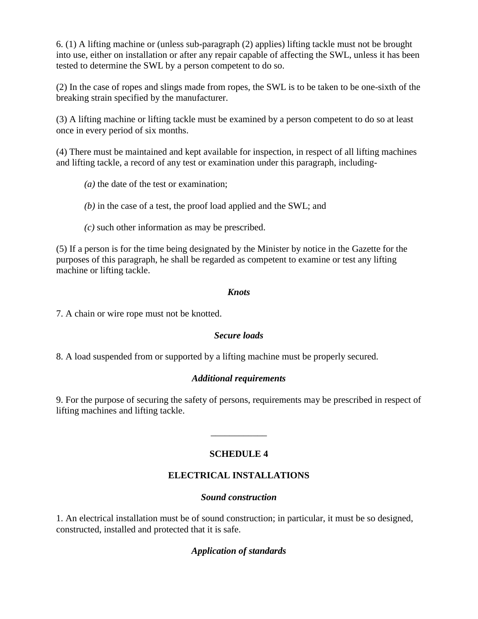6. (1) A lifting machine or (unless sub-paragraph (2) applies) lifting tackle must not be brought into use, either on installation or after any repair capable of affecting the SWL, unless it has been tested to determine the SWL by a person competent to do so.

(2) In the case of ropes and slings made from ropes, the SWL is to be taken to be one-sixth of the breaking strain specified by the manufacturer.

(3) A lifting machine or lifting tackle must be examined by a person competent to do so at least once in every period of six months.

(4) There must be maintained and kept available for inspection, in respect of all lifting machines and lifting tackle, a record of any test or examination under this paragraph, including-

- *(a)* the date of the test or examination;
- *(b)* in the case of a test, the proof load applied and the SWL; and
- *(c)* such other information as may be prescribed.

(5) If a person is for the time being designated by the Minister by notice in the Gazette for the purposes of this paragraph, he shall be regarded as competent to examine or test any lifting machine or lifting tackle.

### *Knots*

7. A chain or wire rope must not be knotted.

## *Secure loads*

8. A load suspended from or supported by a lifting machine must be properly secured.

# *Additional requirements*

9. For the purpose of securing the safety of persons, requirements may be prescribed in respect of lifting machines and lifting tackle.

# **SCHEDULE 4**

\_\_\_\_\_\_\_\_\_\_\_\_

# **ELECTRICAL INSTALLATIONS**

# *Sound construction*

1. An electrical installation must be of sound construction; in particular, it must be so designed, constructed, installed and protected that it is safe.

# *Application of standards*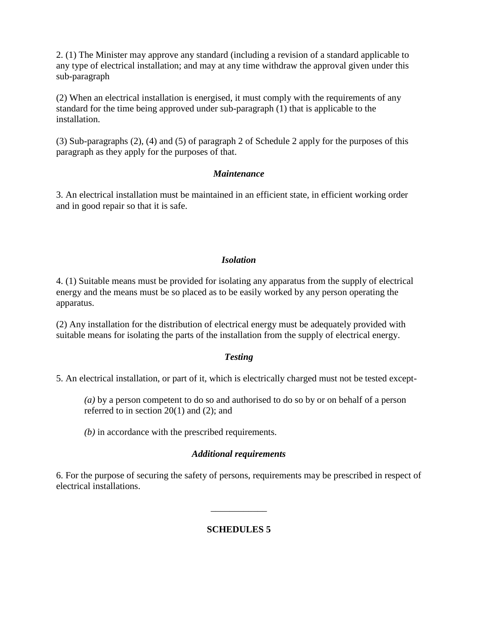2. (1) The Minister may approve any standard (including a revision of a standard applicable to any type of electrical installation; and may at any time withdraw the approval given under this sub-paragraph

(2) When an electrical installation is energised, it must comply with the requirements of any standard for the time being approved under sub-paragraph (1) that is applicable to the installation.

(3) Sub-paragraphs (2), (4) and (5) of paragraph 2 of Schedule 2 apply for the purposes of this paragraph as they apply for the purposes of that.

## *Maintenance*

3. An electrical installation must be maintained in an efficient state, in efficient working order and in good repair so that it is safe.

## *Isolation*

4. (1) Suitable means must be provided for isolating any apparatus from the supply of electrical energy and the means must be so placed as to be easily worked by any person operating the apparatus.

(2) Any installation for the distribution of electrical energy must be adequately provided with suitable means for isolating the parts of the installation from the supply of electrical energy.

# *Testing*

5. An electrical installation, or part of it, which is electrically charged must not be tested except-

*(a)* by a person competent to do so and authorised to do so by or on behalf of a person referred to in section  $20(1)$  and  $(2)$ ; and

*(b)* in accordance with the prescribed requirements.

# *Additional requirements*

6. For the purpose of securing the safety of persons, requirements may be prescribed in respect of electrical installations.

# **SCHEDULES 5**

\_\_\_\_\_\_\_\_\_\_\_\_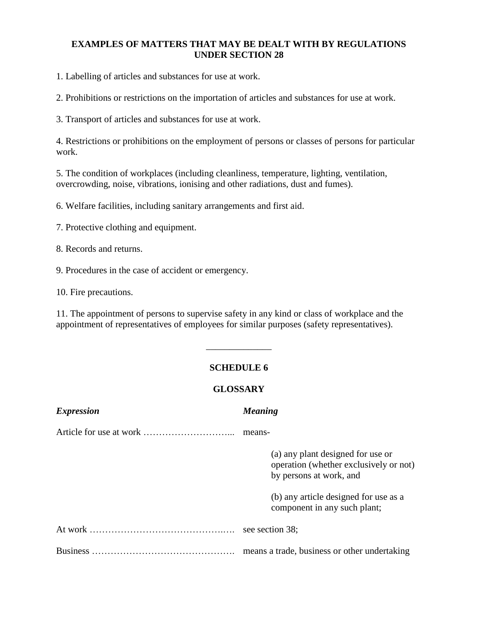## **EXAMPLES OF MATTERS THAT MAY BE DEALT WITH BY REGULATIONS UNDER SECTION 28**

1. Labelling of articles and substances for use at work.

2. Prohibitions or restrictions on the importation of articles and substances for use at work.

3. Transport of articles and substances for use at work.

4. Restrictions or prohibitions on the employment of persons or classes of persons for particular work.

5. The condition of workplaces (including cleanliness, temperature, lighting, ventilation, overcrowding, noise, vibrations, ionising and other radiations, dust and fumes).

6. Welfare facilities, including sanitary arrangements and first aid.

7. Protective clothing and equipment.

8. Records and returns.

9. Procedures in the case of accident or emergency.

10. Fire precautions.

11. The appointment of persons to supervise safety in any kind or class of workplace and the appointment of representatives of employees for similar purposes (safety representatives).

## **SCHEDULE 6**

\_\_\_\_\_\_\_\_\_\_\_\_\_\_

## **GLOSSARY**

| <i>Expression</i> | <b>Meaning</b>                                                                                         |
|-------------------|--------------------------------------------------------------------------------------------------------|
|                   | means-                                                                                                 |
|                   | (a) any plant designed for use or<br>operation (whether exclusively or not)<br>by persons at work, and |
|                   | (b) any article designed for use as a<br>component in any such plant;                                  |
|                   | see section 38;                                                                                        |
|                   | means a trade, business or other undertaking                                                           |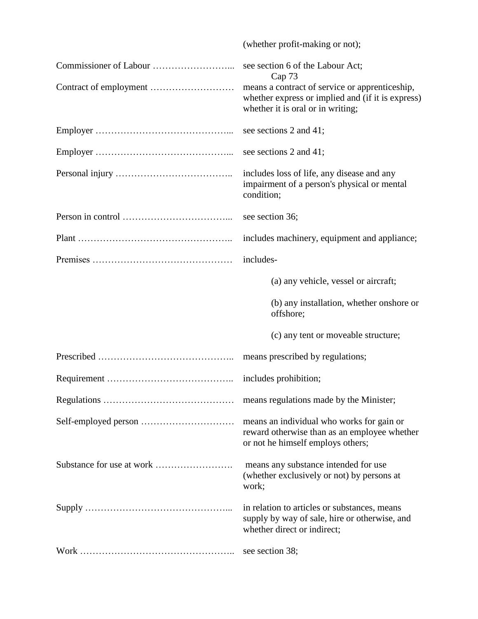| (whether profit-making or not);                                                                                                          |
|------------------------------------------------------------------------------------------------------------------------------------------|
| see section 6 of the Labour Act;<br>Cap 73                                                                                               |
| means a contract of service or apprenticeship,<br>whether express or implied and (if it is express)<br>whether it is oral or in writing; |
| see sections 2 and 41;                                                                                                                   |
| see sections 2 and 41;                                                                                                                   |
| includes loss of life, any disease and any<br>impairment of a person's physical or mental<br>condition;                                  |
| see section 36;                                                                                                                          |
| includes machinery, equipment and appliance;                                                                                             |
| includes-                                                                                                                                |
| (a) any vehicle, vessel or aircraft;                                                                                                     |
| (b) any installation, whether onshore or<br>offshore;                                                                                    |
| (c) any tent or moveable structure;                                                                                                      |
| means prescribed by regulations;                                                                                                         |
| includes prohibition;                                                                                                                    |
| means regulations made by the Minister;                                                                                                  |
| means an individual who works for gain or<br>reward otherwise than as an employee whether<br>or not he himself employs others;           |
| means any substance intended for use<br>(whether exclusively or not) by persons at<br>work;                                              |
| in relation to articles or substances, means<br>supply by way of sale, hire or otherwise, and<br>whether direct or indirect;             |
| see section 38;                                                                                                                          |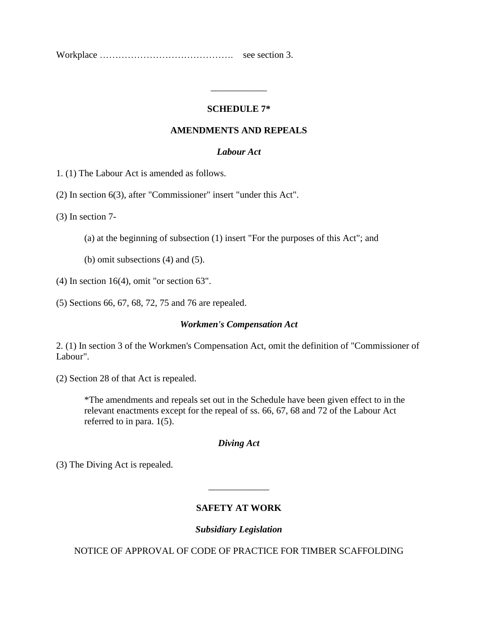Workplace ……………………………………. see section 3.

## **SCHEDULE 7\***

\_\_\_\_\_\_\_\_\_\_\_\_

## **AMENDMENTS AND REPEALS**

## *Labour Act*

1. (1) The Labour Act is amended as follows.

(2) In section 6(3), after "Commissioner" insert "under this Act".

(3) In section 7-

(a) at the beginning of subsection (1) insert "For the purposes of this Act"; and

(b) omit subsections (4) and (5).

(4) In section 16(4), omit "or section 63".

(5) Sections 66, 67, 68, 72, 75 and 76 are repealed.

## *Workmen's Compensation Act*

2. (1) In section 3 of the Workmen's Compensation Act, omit the definition of "Commissioner of Labour".

(2) Section 28 of that Act is repealed.

\*The amendments and repeals set out in the Schedule have been given effect to in the relevant enactments except for the repeal of ss. 66, 67, 68 and 72 of the Labour Act referred to in para. 1(5).

*Diving Act*

(3) The Diving Act is repealed.

# **SAFETY AT WORK**

\_\_\_\_\_\_\_\_\_\_\_\_\_

*Subsidiary Legislation*

NOTICE OF APPROVAL OF CODE OF PRACTICE FOR TIMBER SCAFFOLDING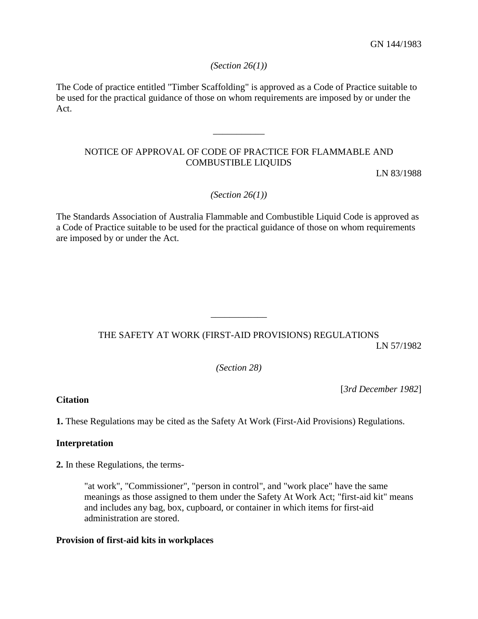### *(Section 26(1))*

The Code of practice entitled "Timber Scaffolding" is approved as a Code of Practice suitable to be used for the practical guidance of those on whom requirements are imposed by or under the Act.

## NOTICE OF APPROVAL OF CODE OF PRACTICE FOR FLAMMABLE AND COMBUSTIBLE LIQUIDS

\_\_\_\_\_\_\_\_\_\_\_

LN 83/1988

*(Section 26(1))*

The Standards Association of Australia Flammable and Combustible Liquid Code is approved as a Code of Practice suitable to be used for the practical guidance of those on whom requirements are imposed by or under the Act.

# THE SAFETY AT WORK (FIRST-AID PROVISIONS) REGULATIONS LN 57/1982

*(Section 28)*

\_\_\_\_\_\_\_\_\_\_\_\_

[*3rd December 1982*]

## **Citation**

**1.** These Regulations may be cited as the Safety At Work (First-Aid Provisions) Regulations.

#### **Interpretation**

**2.** In these Regulations, the terms-

"at work", "Commissioner", "person in control", and "work place" have the same meanings as those assigned to them under the Safety At Work Act; "first-aid kit" means and includes any bag, box, cupboard, or container in which items for first-aid administration are stored.

#### **Provision of first-aid kits in workplaces**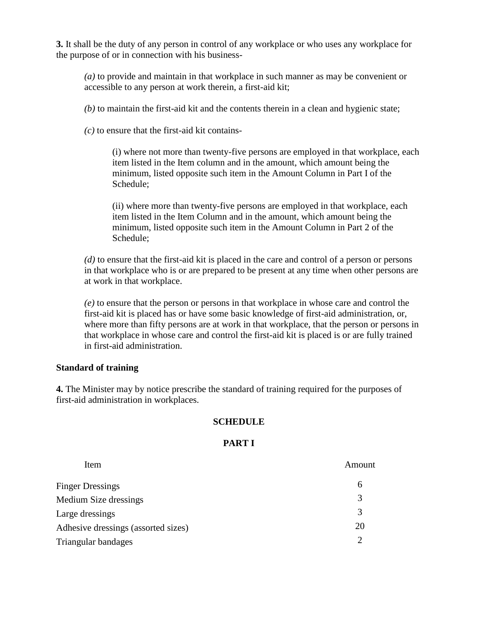**3.** It shall be the duty of any person in control of any workplace or who uses any workplace for the purpose of or in connection with his business-

*(a)* to provide and maintain in that workplace in such manner as may be convenient or accessible to any person at work therein, a first-aid kit;

*(b)* to maintain the first-aid kit and the contents therein in a clean and hygienic state;

*(c)* to ensure that the first-aid kit contains-

(i) where not more than twenty-five persons are employed in that workplace, each item listed in the Item column and in the amount, which amount being the minimum, listed opposite such item in the Amount Column in Part I of the Schedule;

(ii) where more than twenty-five persons are employed in that workplace, each item listed in the Item Column and in the amount, which amount being the minimum, listed opposite such item in the Amount Column in Part 2 of the Schedule;

*(d)* to ensure that the first-aid kit is placed in the care and control of a person or persons in that workplace who is or are prepared to be present at any time when other persons are at work in that workplace.

*(e)* to ensure that the person or persons in that workplace in whose care and control the first-aid kit is placed has or have some basic knowledge of first-aid administration, or, where more than fifty persons are at work in that workplace, that the person or persons in that workplace in whose care and control the first-aid kit is placed is or are fully trained in first-aid administration.

#### **Standard of training**

**4.** The Minister may by notice prescribe the standard of training required for the purposes of first-aid administration in workplaces.

#### **SCHEDULE**

## **PART I**

| Item                                | Amount |
|-------------------------------------|--------|
| <b>Finger Dressings</b>             | 6      |
| Medium Size dressings               |        |
| Large dressings                     |        |
| Adhesive dressings (assorted sizes) | 20     |
| Triangular bandages                 |        |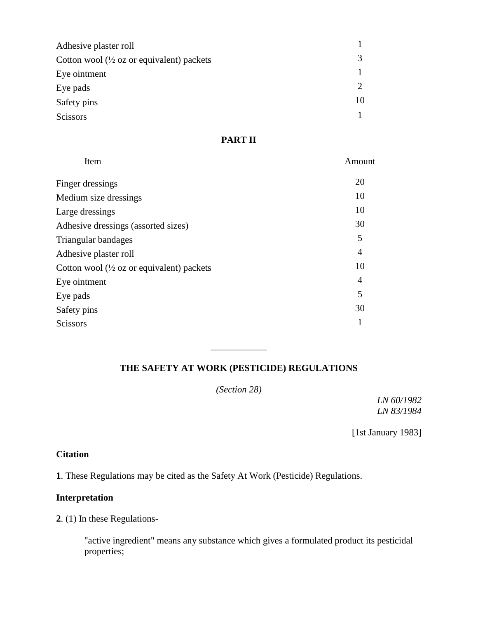| Adhesive plaster roll                                |    |
|------------------------------------------------------|----|
| Cotton wool $(\frac{1}{2}$ oz or equivalent) packets |    |
| Eye ointment                                         |    |
| Eye pads                                             |    |
| Safety pins                                          | 10 |
| <b>Scissors</b>                                      |    |

# **PART II**

| Amount         |
|----------------|
| 20             |
| 10             |
| 10             |
| 30             |
| 5              |
| $\overline{4}$ |
| 10             |
| 4              |
| 5              |
| 30             |
| 1              |
|                |

# **THE SAFETY AT WORK (PESTICIDE) REGULATIONS**

\_\_\_\_\_\_\_\_\_\_\_\_

*(Section 28)*

*LN 60/1982 LN 83/1984*

[1st January 1983]

## **Citation**

**1**. These Regulations may be cited as the Safety At Work (Pesticide) Regulations.

## **Interpretation**

**2**. (1) In these Regulations-

"active ingredient" means any substance which gives a formulated product its pesticidal properties;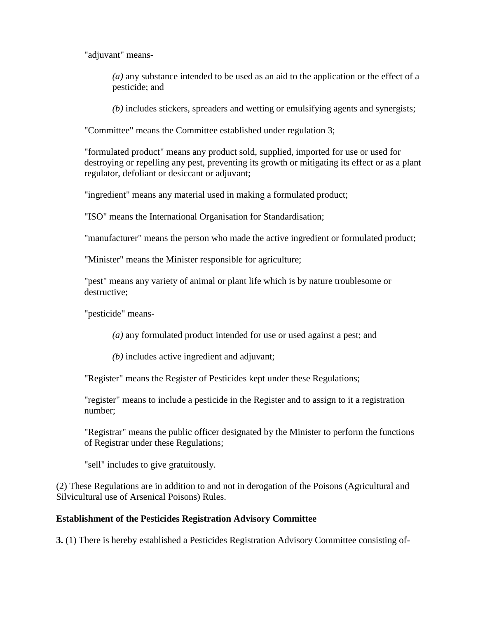"adjuvant" means-

*(a)* any substance intended to be used as an aid to the application or the effect of a pesticide; and

*(b)* includes stickers, spreaders and wetting or emulsifying agents and synergists;

"Committee" means the Committee established under regulation 3;

"formulated product" means any product sold, supplied, imported for use or used for destroying or repelling any pest, preventing its growth or mitigating its effect or as a plant regulator, defoliant or desiccant or adjuvant;

"ingredient" means any material used in making a formulated product;

"ISO" means the International Organisation for Standardisation;

"manufacturer" means the person who made the active ingredient or formulated product;

"Minister" means the Minister responsible for agriculture;

"pest" means any variety of animal or plant life which is by nature troublesome or destructive;

"pesticide" means-

*(a)* any formulated product intended for use or used against a pest; and

*(b)* includes active ingredient and adjuvant;

"Register" means the Register of Pesticides kept under these Regulations;

"register" means to include a pesticide in the Register and to assign to it a registration number;

"Registrar" means the public officer designated by the Minister to perform the functions of Registrar under these Regulations;

"sell" includes to give gratuitously.

(2) These Regulations are in addition to and not in derogation of the Poisons (Agricultural and Silvicultural use of Arsenical Poisons) Rules.

# **Establishment of the Pesticides Registration Advisory Committee**

**3.** (1) There is hereby established a Pesticides Registration Advisory Committee consisting of-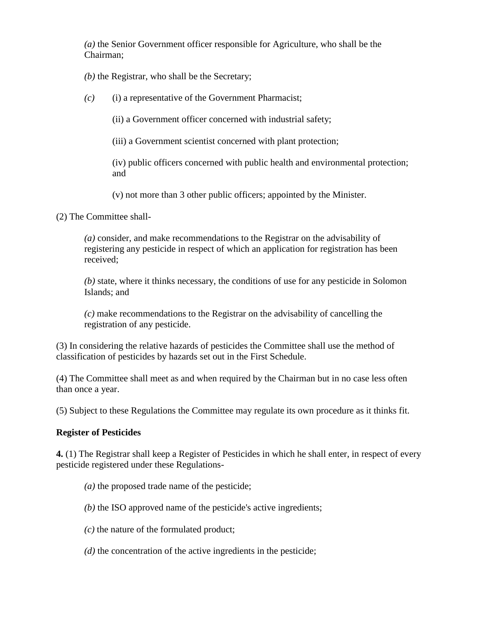*(a)* the Senior Government officer responsible for Agriculture, who shall be the Chairman;

*(b)* the Registrar, who shall be the Secretary;

*(c)* (i) a representative of the Government Pharmacist;

(ii) a Government officer concerned with industrial safety;

(iii) a Government scientist concerned with plant protection;

(iv) public officers concerned with public health and environmental protection; and

(v) not more than 3 other public officers; appointed by the Minister.

(2) The Committee shall-

*(a)* consider, and make recommendations to the Registrar on the advisability of registering any pesticide in respect of which an application for registration has been received;

*(b)* state, where it thinks necessary, the conditions of use for any pesticide in Solomon Islands; and

*(c)* make recommendations to the Registrar on the advisability of cancelling the registration of any pesticide.

(3) In considering the relative hazards of pesticides the Committee shall use the method of classification of pesticides by hazards set out in the First Schedule.

(4) The Committee shall meet as and when required by the Chairman but in no case less often than once a year.

(5) Subject to these Regulations the Committee may regulate its own procedure as it thinks fit.

## **Register of Pesticides**

**4.** (1) The Registrar shall keep a Register of Pesticides in which he shall enter, in respect of every pesticide registered under these Regulations-

*(a)* the proposed trade name of the pesticide;

*(b)* the ISO approved name of the pesticide's active ingredients;

- *(c)* the nature of the formulated product;
- *(d)* the concentration of the active ingredients in the pesticide;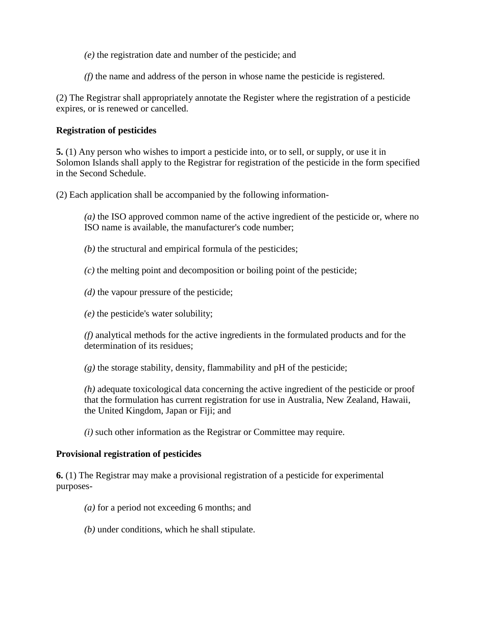- *(e)* the registration date and number of the pesticide; and
- *(f)* the name and address of the person in whose name the pesticide is registered.

(2) The Registrar shall appropriately annotate the Register where the registration of a pesticide expires, or is renewed or cancelled.

## **Registration of pesticides**

**5.** (1) Any person who wishes to import a pesticide into, or to sell, or supply, or use it in Solomon Islands shall apply to the Registrar for registration of the pesticide in the form specified in the Second Schedule.

(2) Each application shall be accompanied by the following information-

*(a)* the ISO approved common name of the active ingredient of the pesticide or, where no ISO name is available, the manufacturer's code number;

*(b)* the structural and empirical formula of the pesticides;

*(c)* the melting point and decomposition or boiling point of the pesticide;

- *(d)* the vapour pressure of the pesticide;
- *(e)* the pesticide's water solubility;

*(f)* analytical methods for the active ingredients in the formulated products and for the determination of its residues;

*(g)* the storage stability, density, flammability and pH of the pesticide;

*(h)* adequate toxicological data concerning the active ingredient of the pesticide or proof that the formulation has current registration for use in Australia, New Zealand, Hawaii, the United Kingdom, Japan or Fiji; and

*(i)* such other information as the Registrar or Committee may require.

## **Provisional registration of pesticides**

**6.** (1) The Registrar may make a provisional registration of a pesticide for experimental purposes-

- *(a)* for a period not exceeding 6 months; and
- *(b)* under conditions, which he shall stipulate.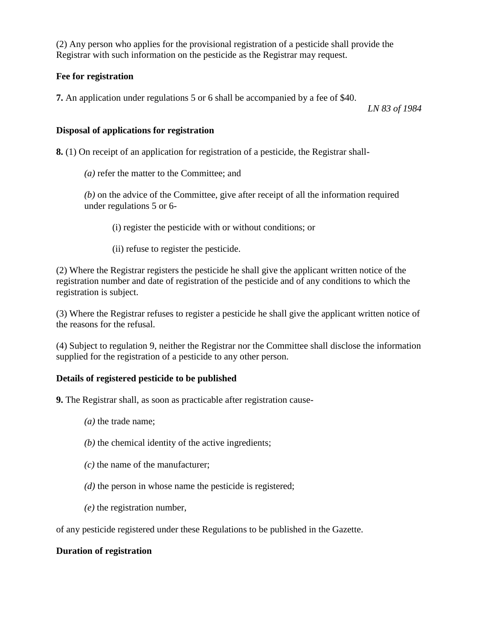(2) Any person who applies for the provisional registration of a pesticide shall provide the Registrar with such information on the pesticide as the Registrar may request.

## **Fee for registration**

**7.** An application under regulations 5 or 6 shall be accompanied by a fee of \$40.

*LN 83 of 1984*

## **Disposal of applications for registration**

**8.** (1) On receipt of an application for registration of a pesticide, the Registrar shall-

*(a)* refer the matter to the Committee; and

*(b)* on the advice of the Committee, give after receipt of all the information required under regulations 5 or 6-

(i) register the pesticide with or without conditions; or

(ii) refuse to register the pesticide.

(2) Where the Registrar registers the pesticide he shall give the applicant written notice of the registration number and date of registration of the pesticide and of any conditions to which the registration is subject.

(3) Where the Registrar refuses to register a pesticide he shall give the applicant written notice of the reasons for the refusal.

(4) Subject to regulation 9, neither the Registrar nor the Committee shall disclose the information supplied for the registration of a pesticide to any other person.

## **Details of registered pesticide to be published**

**9.** The Registrar shall, as soon as practicable after registration cause-

- *(a)* the trade name;
- *(b)* the chemical identity of the active ingredients;
- *(c)* the name of the manufacturer;
- *(d)* the person in whose name the pesticide is registered;
- *(e)* the registration number,

of any pesticide registered under these Regulations to be published in the Gazette.

## **Duration of registration**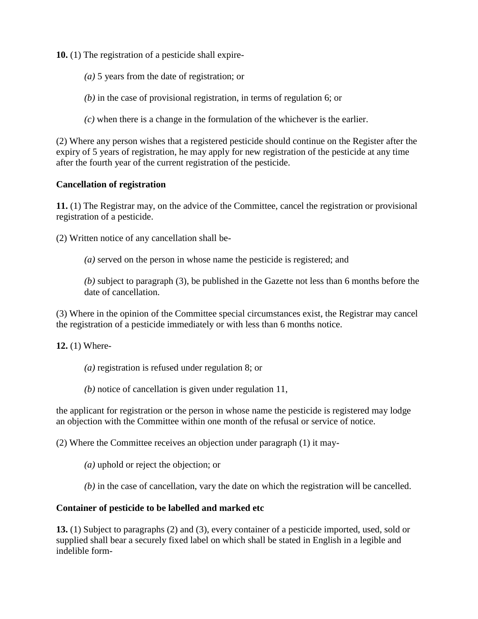**10.** (1) The registration of a pesticide shall expire-

- *(a)* 5 years from the date of registration; or
- *(b)* in the case of provisional registration, in terms of regulation 6; or
- *(c)* when there is a change in the formulation of the whichever is the earlier.

(2) Where any person wishes that a registered pesticide should continue on the Register after the expiry of 5 years of registration, he may apply for new registration of the pesticide at any time after the fourth year of the current registration of the pesticide.

## **Cancellation of registration**

**11.** (1) The Registrar may, on the advice of the Committee, cancel the registration or provisional registration of a pesticide.

(2) Written notice of any cancellation shall be-

*(a)* served on the person in whose name the pesticide is registered; and

*(b)* subject to paragraph (3), be published in the Gazette not less than 6 months before the date of cancellation.

(3) Where in the opinion of the Committee special circumstances exist, the Registrar may cancel the registration of a pesticide immediately or with less than 6 months notice.

**12.** (1) Where-

- *(a)* registration is refused under regulation 8; or
- *(b)* notice of cancellation is given under regulation 11,

the applicant for registration or the person in whose name the pesticide is registered may lodge an objection with the Committee within one month of the refusal or service of notice.

(2) Where the Committee receives an objection under paragraph (1) it may-

- *(a)* uphold or reject the objection; or
- *(b)* in the case of cancellation, vary the date on which the registration will be cancelled.

## **Container of pesticide to be labelled and marked etc**

**13.** (1) Subject to paragraphs (2) and (3), every container of a pesticide imported, used, sold or supplied shall bear a securely fixed label on which shall be stated in English in a legible and indelible form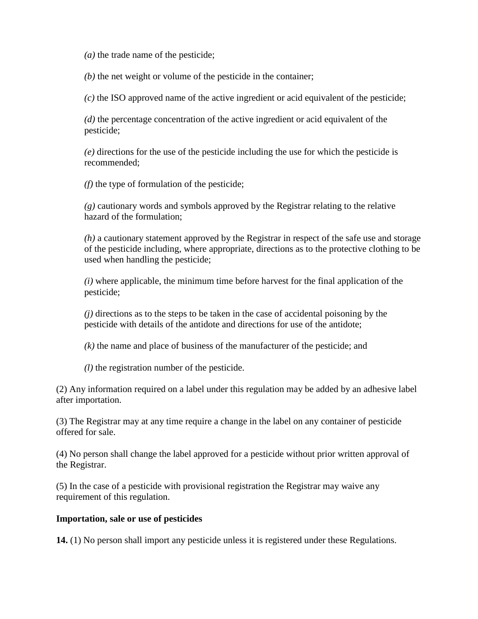*(a)* the trade name of the pesticide;

*(b)* the net weight or volume of the pesticide in the container;

*(c)* the ISO approved name of the active ingredient or acid equivalent of the pesticide;

*(d)* the percentage concentration of the active ingredient or acid equivalent of the pesticide;

*(e)* directions for the use of the pesticide including the use for which the pesticide is recommended;

*(f)* the type of formulation of the pesticide;

*(g)* cautionary words and symbols approved by the Registrar relating to the relative hazard of the formulation;

*(h)* a cautionary statement approved by the Registrar in respect of the safe use and storage of the pesticide including, where appropriate, directions as to the protective clothing to be used when handling the pesticide;

*(i)* where applicable, the minimum time before harvest for the final application of the pesticide;

*(j)* directions as to the steps to be taken in the case of accidental poisoning by the pesticide with details of the antidote and directions for use of the antidote;

*(k)* the name and place of business of the manufacturer of the pesticide; and

*(l)* the registration number of the pesticide.

(2) Any information required on a label under this regulation may be added by an adhesive label after importation.

(3) The Registrar may at any time require a change in the label on any container of pesticide offered for sale.

(4) No person shall change the label approved for a pesticide without prior written approval of the Registrar.

(5) In the case of a pesticide with provisional registration the Registrar may waive any requirement of this regulation.

## **Importation, sale or use of pesticides**

**14.** (1) No person shall import any pesticide unless it is registered under these Regulations.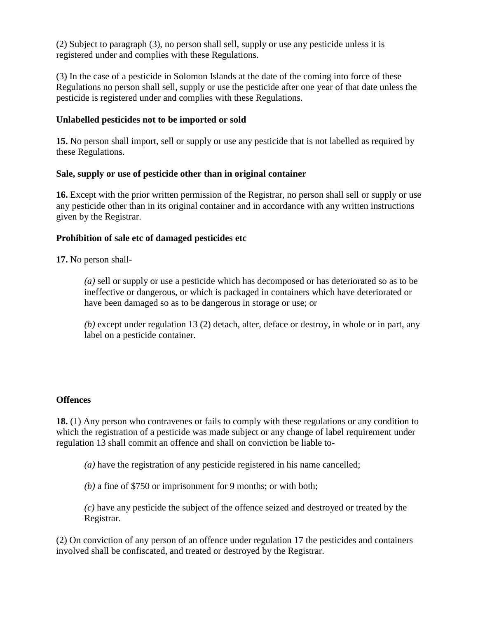(2) Subject to paragraph (3), no person shall sell, supply or use any pesticide unless it is registered under and complies with these Regulations.

(3) In the case of a pesticide in Solomon Islands at the date of the coming into force of these Regulations no person shall sell, supply or use the pesticide after one year of that date unless the pesticide is registered under and complies with these Regulations.

## **Unlabelled pesticides not to be imported or sold**

**15.** No person shall import, sell or supply or use any pesticide that is not labelled as required by these Regulations.

## **Sale, supply or use of pesticide other than in original container**

**16.** Except with the prior written permission of the Registrar, no person shall sell or supply or use any pesticide other than in its original container and in accordance with any written instructions given by the Registrar.

## **Prohibition of sale etc of damaged pesticides etc**

**17.** No person shall-

*(a)* sell or supply or use a pesticide which has decomposed or has deteriorated so as to be ineffective or dangerous, or which is packaged in containers which have deteriorated or have been damaged so as to be dangerous in storage or use; or

*(b)* except under regulation 13 (2) detach, alter, deface or destroy, in whole or in part, any label on a pesticide container.

## **Offences**

**18.** (1) Any person who contravenes or fails to comply with these regulations or any condition to which the registration of a pesticide was made subject or any change of label requirement under regulation 13 shall commit an offence and shall on conviction be liable to-

*(a)* have the registration of any pesticide registered in his name cancelled;

*(b)* a fine of \$750 or imprisonment for 9 months; or with both;

*(c)* have any pesticide the subject of the offence seized and destroyed or treated by the Registrar.

(2) On conviction of any person of an offence under regulation 17 the pesticides and containers involved shall be confiscated, and treated or destroyed by the Registrar.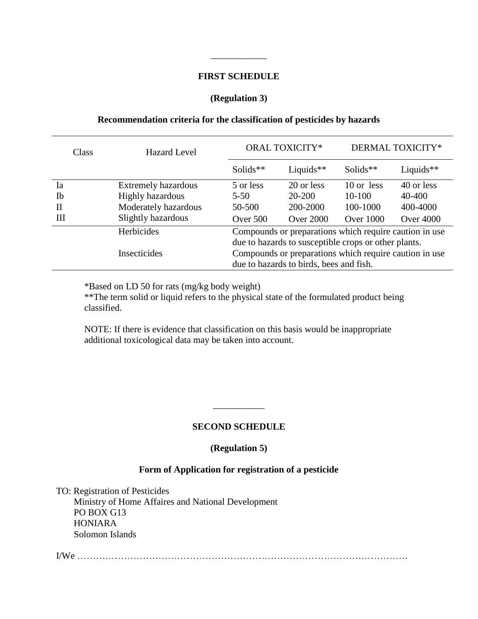## **FIRST SCHEDULE**

 $\overline{\phantom{a}}$  , where  $\overline{\phantom{a}}$ 

### **(Regulation 3)**

# **Recommendation criteria for the classification of pesticides by hazards**

| Class | <b>Hazard Level</b>        |                                                                                                   | ORAL TOXICITY*   |                  | DERMAL TOXICITY* |  |
|-------|----------------------------|---------------------------------------------------------------------------------------------------|------------------|------------------|------------------|--|
|       |                            | $Solids**$                                                                                        | Liquids $**$     | $Solids**$       | Liquids $**$     |  |
| Ia    | <b>Extremely hazardous</b> | 5 or less                                                                                         | 20 or less       | 10 or less       | 40 or less       |  |
| Ib    | Highly hazardous           | $5 - 50$                                                                                          | 20-200           | $10-100$         | 40-400           |  |
| II    | Moderately hazardous       | 50-500                                                                                            | 200-2000         | 100-1000         | 400-4000         |  |
| Ш     | Slightly hazardous         | Over 500                                                                                          | <b>Over 2000</b> | <b>Over 1000</b> | <b>Over 4000</b> |  |
|       | Herbicides                 | Compounds or preparations which require caution in use                                            |                  |                  |                  |  |
|       |                            | due to hazards to susceptible crops or other plants.                                              |                  |                  |                  |  |
|       | Insecticides               | Compounds or preparations which require caution in use<br>due to hazards to birds, bees and fish. |                  |                  |                  |  |
|       |                            |                                                                                                   |                  |                  |                  |  |

\*Based on LD 50 for rats (mg/kg body weight)

\*\*The term solid or liquid refers to the physical state of the formulated product being classified.

NOTE: If there is evidence that classification on this basis would be inappropriate additional toxicological data may be taken into account.

## **SECOND SCHEDULE**

\_\_\_\_\_\_\_\_\_\_\_

### **(Regulation 5)**

## **Form of Application for registration of a pesticide**

TO: Registration of Pesticides Ministry of Home Affaires and National Development PO BOX G13 HONIARA Solomon Islands

I/We …………………………………………………………………………………………….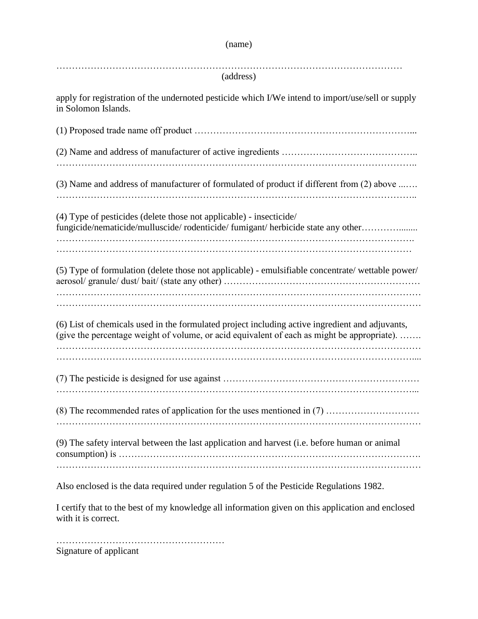| (name)                                                                                                                                                                                         |
|------------------------------------------------------------------------------------------------------------------------------------------------------------------------------------------------|
| (address)                                                                                                                                                                                      |
| apply for registration of the undernoted pesticide which I/We intend to import/use/sell or supply<br>in Solomon Islands.                                                                       |
|                                                                                                                                                                                                |
|                                                                                                                                                                                                |
| $(3)$ Name and address of manufacturer of formulated of product if different from $(2)$ above                                                                                                  |
| (4) Type of pesticides (delete those not applicable) - insecticide/<br>fungicide/nematicide/mulluscide/rodenticide/fumigant/herbicide state any other                                          |
| (5) Type of formulation (delete those not applicable) - emulsifiable concentrate/ wettable power/                                                                                              |
| (6) List of chemicals used in the formulated project including active ingredient and adjuvants,<br>(give the percentage weight of volume, or acid equivalent of each as might be appropriate). |
|                                                                                                                                                                                                |
|                                                                                                                                                                                                |
| (9) The safety interval between the last application and harvest (i.e. before human or animal                                                                                                  |
|                                                                                                                                                                                                |
| Also enclosed is the data required under regulation 5 of the Pesticide Regulations 1982.                                                                                                       |
| I certify that to the best of my knowledge all information given on this application and enclosed<br>with it is correct.                                                                       |

……………………………………………… Signature of applicant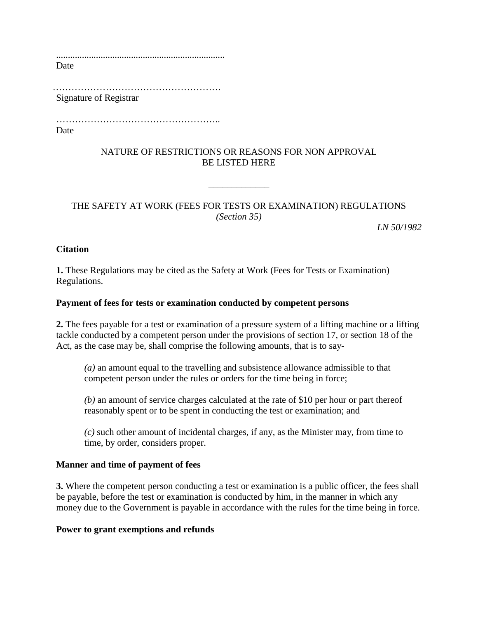........................................................................ Date

……………………………………………… Signature of Registrar

Date

## NATURE OF RESTRICTIONS OR REASONS FOR NON APPROVAL BE LISTED HERE

\_\_\_\_\_\_\_\_\_\_\_\_\_

# THE SAFETY AT WORK (FEES FOR TESTS OR EXAMINATION) REGULATIONS *(Section 35)*

*LN 50/1982*

### **Citation**

**1.** These Regulations may be cited as the Safety at Work (Fees for Tests or Examination) Regulations.

### **Payment of fees for tests or examination conducted by competent persons**

**2.** The fees payable for a test or examination of a pressure system of a lifting machine or a lifting tackle conducted by a competent person under the provisions of section 17, or section 18 of the Act, as the case may be, shall comprise the following amounts, that is to say-

*(a)* an amount equal to the travelling and subsistence allowance admissible to that competent person under the rules or orders for the time being in force;

*(b)* an amount of service charges calculated at the rate of \$10 per hour or part thereof reasonably spent or to be spent in conducting the test or examination; and

*(c)* such other amount of incidental charges, if any, as the Minister may, from time to time, by order, considers proper.

#### **Manner and time of payment of fees**

**3.** Where the competent person conducting a test or examination is a public officer, the fees shall be payable, before the test or examination is conducted by him, in the manner in which any money due to the Government is payable in accordance with the rules for the time being in force.

## **Power to grant exemptions and refunds**